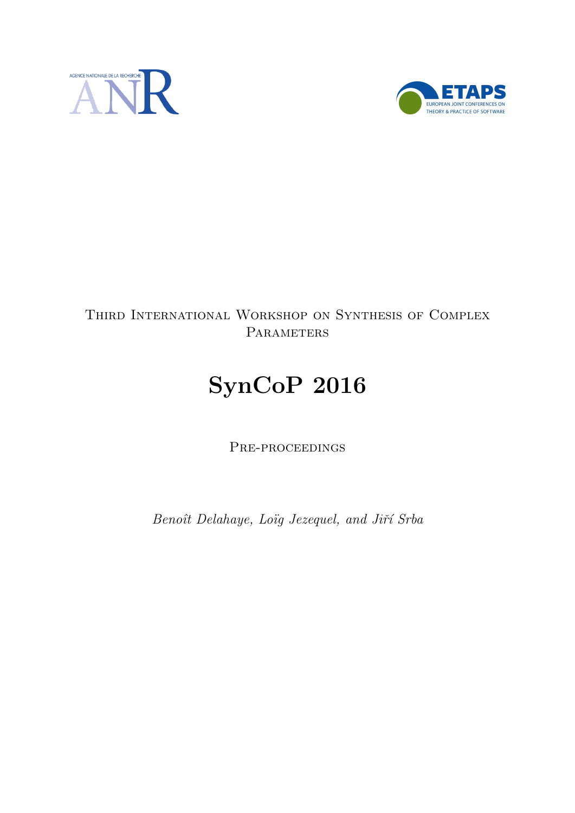



# Third International Workshop on Synthesis of Complex **PARAMETERS**

# SynCoP 2016

PRE-PROCEEDINGS

Benoît Delahaye, Loïg Jezequel, and Jiří Srba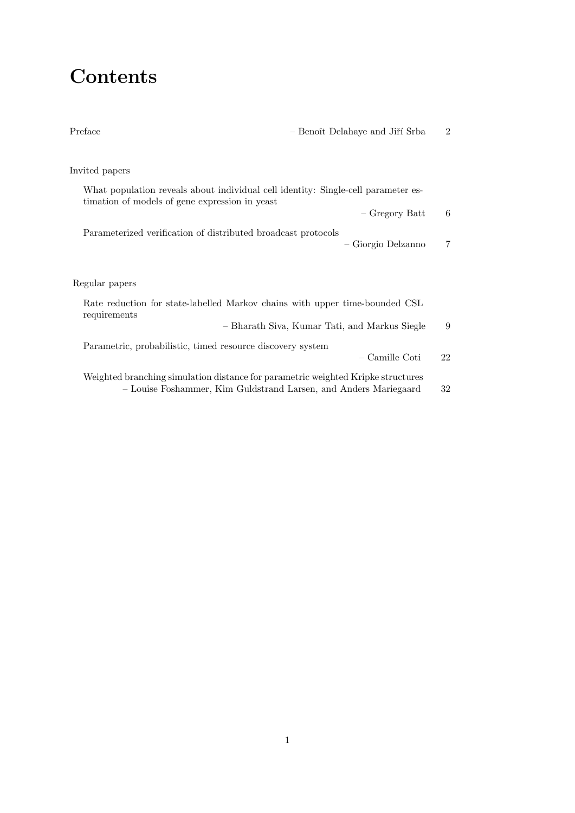# **Contents**

| Preface                                                                                                                                              | - Benoît Delahaye and Jiří Srba               | $\overline{2}$ |
|------------------------------------------------------------------------------------------------------------------------------------------------------|-----------------------------------------------|----------------|
| Invited papers                                                                                                                                       |                                               |                |
|                                                                                                                                                      |                                               |                |
| What population reveals about individual cell identity: Single-cell parameter es-<br>timation of models of gene expression in yeast                  |                                               |                |
|                                                                                                                                                      | - Gregory Batt                                | 6              |
| Parameterized verification of distributed broadcast protocols                                                                                        |                                               |                |
|                                                                                                                                                      | - Giorgio Delzanno                            | 7              |
|                                                                                                                                                      |                                               |                |
| Regular papers                                                                                                                                       |                                               |                |
| Rate reduction for state-labelled Markov chains with upper time-bounded CSL<br>requirements                                                          |                                               |                |
|                                                                                                                                                      | - Bharath Siva, Kumar Tati, and Markus Siegle | 9              |
| Parametric, probabilistic, timed resource discovery system                                                                                           |                                               |                |
|                                                                                                                                                      | - Camille Coti                                | 22             |
| Weighted branching simulation distance for parametric weighted Kripke structures<br>- Louise Foshammer, Kim Guldstrand Larsen, and Anders Mariegaard |                                               | 32             |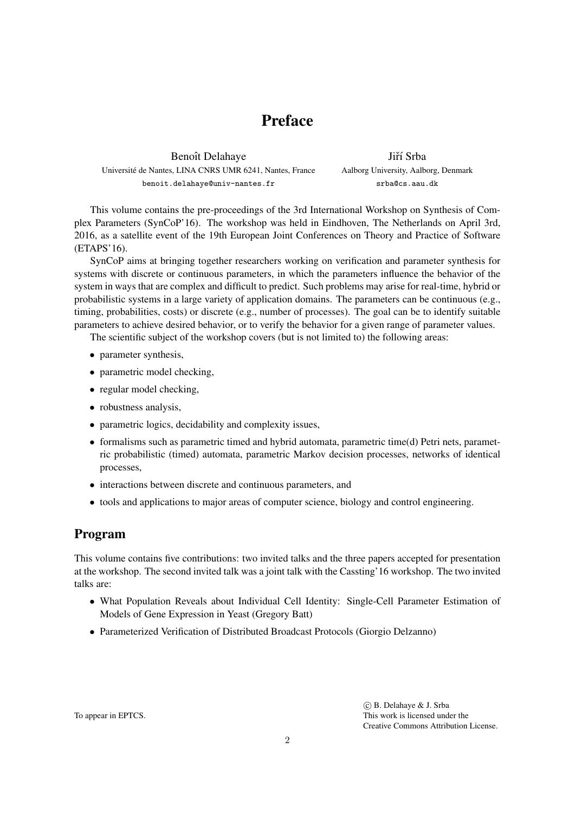# Preface

Benoît Delahaye Universite de Nantes, LINA CNRS UMR 6241, Nantes, France ´ benoit.delahaye@univ-nantes.fr

Jiří Srba Aalborg University, Aalborg, Denmark srba@cs.aau.dk

This volume contains the pre-proceedings of the 3rd International Workshop on Synthesis of Complex Parameters (SynCoP'16). The workshop was held in Eindhoven, The Netherlands on April 3rd, 2016, as a satellite event of the 19th European Joint Conferences on Theory and Practice of Software (ETAPS'16).

SynCoP aims at bringing together researchers working on verification and parameter synthesis for systems with discrete or continuous parameters, in which the parameters influence the behavior of the system in ways that are complex and difficult to predict. Such problems may arise for real-time, hybrid or probabilistic systems in a large variety of application domains. The parameters can be continuous (e.g., timing, probabilities, costs) or discrete (e.g., number of processes). The goal can be to identify suitable parameters to achieve desired behavior, or to verify the behavior for a given range of parameter values.

The scientific subject of the workshop covers (but is not limited to) the following areas:

- parameter synthesis,
- parametric model checking,
- regular model checking,
- robustness analysis,
- parametric logics, decidability and complexity issues,
- formalisms such as parametric timed and hybrid automata, parametric time(d) Petri nets, parametric probabilistic (timed) automata, parametric Markov decision processes, networks of identical processes,
- interactions between discrete and continuous parameters, and
- tools and applications to major areas of computer science, biology and control engineering.

# Program

This volume contains five contributions: two invited talks and the three papers accepted for presentation at the workshop. The second invited talk was a joint talk with the Cassting'16 workshop. The two invited talks are:

- What Population Reveals about Individual Cell Identity: Single-Cell Parameter Estimation of Models of Gene Expression in Yeast (Gregory Batt)
- Parameterized Verification of Distributed Broadcast Protocols (Giorgio Delzanno)

To appear in EPTCS.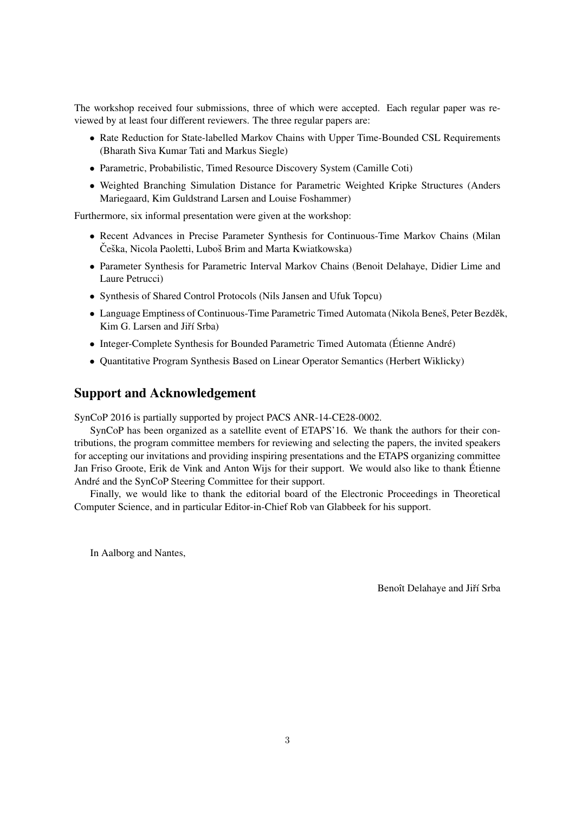The workshop received four submissions, three of which were accepted. Each regular paper was reviewed by at least four different reviewers. The three regular papers are:

- Rate Reduction for State-labelled Markov Chains with Upper Time-Bounded CSL Requirements (Bharath Siva Kumar Tati and Markus Siegle)
- Parametric, Probabilistic, Timed Resource Discovery System (Camille Coti)
- Weighted Branching Simulation Distance for Parametric Weighted Kripke Structures (Anders Mariegaard, Kim Guldstrand Larsen and Louise Foshammer)

Furthermore, six informal presentation were given at the workshop:

- Recent Advances in Precise Parameter Synthesis for Continuous-Time Markov Chains (Milan Češka, Nicola Paoletti, Luboš Brim and Marta Kwiatkowska)
- Parameter Synthesis for Parametric Interval Markov Chains (Benoit Delahaye, Didier Lime and Laure Petrucci)
- Synthesis of Shared Control Protocols (Nils Jansen and Ufuk Topcu)
- Language Emptiness of Continuous-Time Parametric Timed Automata (Nikola Beneš, Peter Bezděk, Kim G. Larsen and Jiří Srba)
- Integer-Complete Synthesis for Bounded Parametric Timed Automata (Étienne André)
- Quantitative Program Synthesis Based on Linear Operator Semantics (Herbert Wiklicky)

# Support and Acknowledgement

SynCoP 2016 is partially supported by project PACS ANR-14-CE28-0002.

SynCoP has been organized as a satellite event of ETAPS'16. We thank the authors for their contributions, the program committee members for reviewing and selecting the papers, the invited speakers for accepting our invitations and providing inspiring presentations and the ETAPS organizing committee Jan Friso Groote, Erik de Vink and Anton Wijs for their support. We would also like to thank Etienne ´ André and the SynCoP Steering Committee for their support.

Finally, we would like to thank the editorial board of the Electronic Proceedings in Theoretical Computer Science, and in particular Editor-in-Chief Rob van Glabbeek for his support.

In Aalborg and Nantes,

Benoît Delahaye and Jiří Srba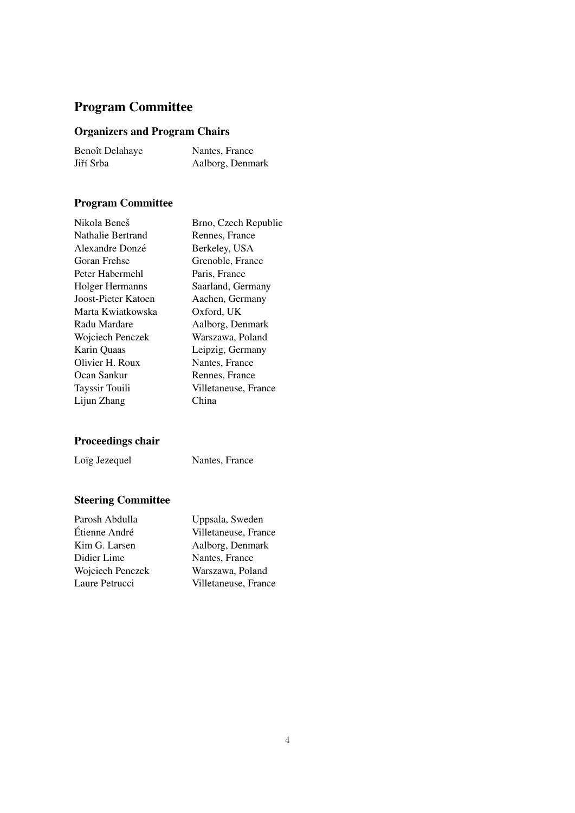# Program Committee

# Organizers and Program Chairs

| Benoît Delahaye | Nantes, France   |
|-----------------|------------------|
| Jiří Srba       | Aalborg, Denmark |

# Program Committee

| Nikola Beneš             | Brno, Czech Republic |
|--------------------------|----------------------|
| <b>Nathalie Bertrand</b> | Rennes, France       |
| Alexandre Donzé          | Berkeley, USA        |
| Goran Frehse             | Grenoble, France     |
| Peter Habermehl          | Paris, France        |
| Holger Hermanns          | Saarland, Germany    |
| Joost-Pieter Katoen      | Aachen, Germany      |
| Marta Kwiatkowska        | Oxford, UK           |
| Radu Mardare             | Aalborg, Denmark     |
| Wojciech Penczek         | Warszawa, Poland     |
| Karin Quaas              | Leipzig, Germany     |
| Olivier H. Roux          | Nantes, France       |
| Ocan Sankur              | Rennes, France       |
| Tayssir Touili           | Villetaneuse, France |
| Lijun Zhang              | China                |
|                          |                      |

# Proceedings chair

Loïg Jezequel Nantes, France

# Steering Committee

| Parosh Abdulla   | Uppsala, Sweden      |
|------------------|----------------------|
| Étienne André    | Villetaneuse, France |
| Kim G. Larsen    | Aalborg, Denmark     |
| Didier Lime      | Nantes, France       |
| Wojciech Penczek | Warszawa, Poland     |
| Laure Petrucci   | Villetaneuse, France |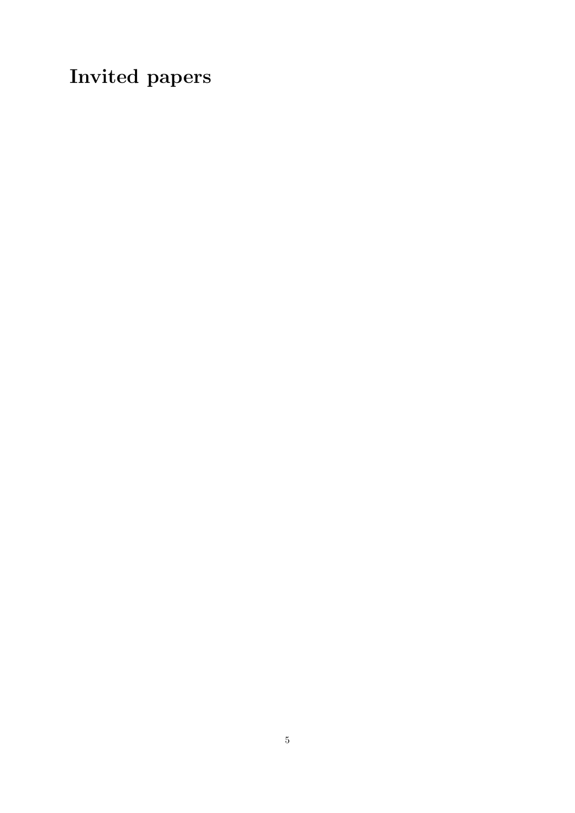Invited papers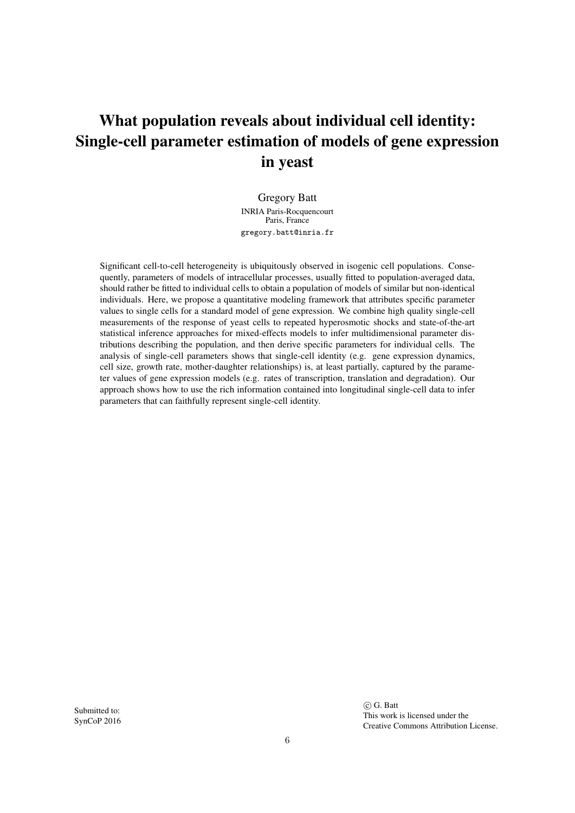# What population reveals about individual cell identity: Single-cell parameter estimation of models of gene expression in yeast

Gregory Batt INRIA Paris-Rocquencourt Paris, France gregory.batt@inria.fr

Significant cell-to-cell heterogeneity is ubiquitously observed in isogenic cell populations. Consequently, parameters of models of intracellular processes, usually fitted to population-averaged data, should rather be fitted to individual cells to obtain a population of models of similar but non-identical individuals. Here, we propose a quantitative modeling framework that attributes specific parameter values to single cells for a standard model of gene expression. We combine high quality single-cell measurements of the response of yeast cells to repeated hyperosmotic shocks and state-of-the-art statistical inference approaches for mixed-effects models to infer multidimensional parameter distributions describing the population, and then derive specific parameters for individual cells. The analysis of single-cell parameters shows that single-cell identity (e.g. gene expression dynamics, cell size, growth rate, mother-daughter relationships) is, at least partially, captured by the parameter values of gene expression models (e.g. rates of transcription, translation and degradation). Our approach shows how to use the rich information contained into longitudinal single-cell data to infer parameters that can faithfully represent single-cell identity.

Submitted to: SynCoP 2016

 c G. Batt This work is licensed under the Creative Commons Attribution License.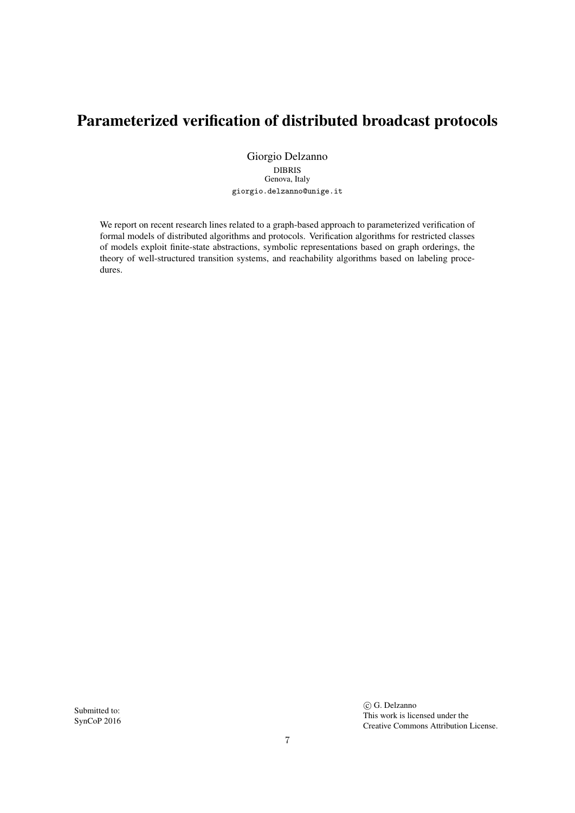# Parameterized verification of distributed broadcast protocols

Giorgio Delzanno DIBRIS Genova, Italy giorgio.delzanno@unige.it

We report on recent research lines related to a graph-based approach to parameterized verification of formal models of distributed algorithms and protocols. Verification algorithms for restricted classes of models exploit finite-state abstractions, symbolic representations based on graph orderings, the theory of well-structured transition systems, and reachability algorithms based on labeling procedures.

Submitted to: SynCoP 2016  $\circ$  G. Delzanno This work is licensed under the Creative Commons Attribution License.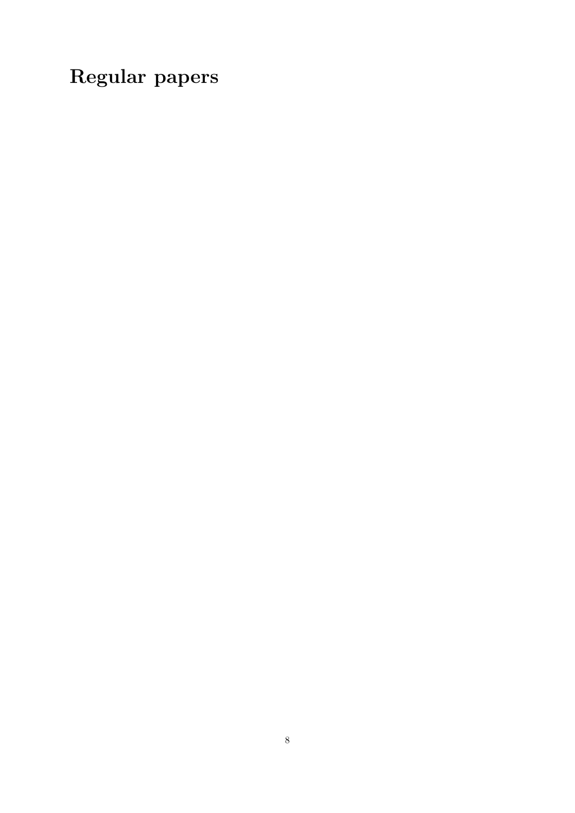Regular papers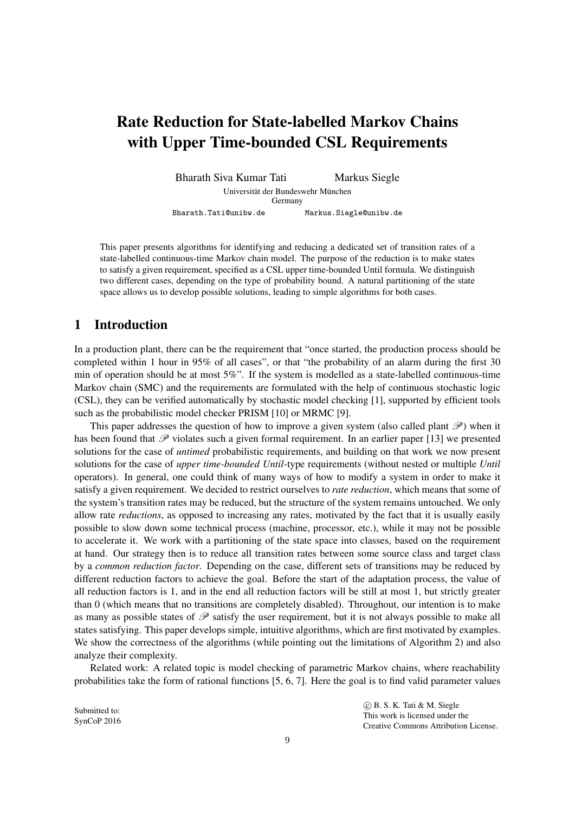# Rate Reduction for State-labelled Markov Chains with Upper Time-bounded CSL Requirements

Bharath Siva Kumar Tati Markus Siegle Universität der Bundeswehr München Germany Bharath.Tati@unibw.de Markus.Siegle@unibw.de

This paper presents algorithms for identifying and reducing a dedicated set of transition rates of a state-labelled continuous-time Markov chain model. The purpose of the reduction is to make states to satisfy a given requirement, specified as a CSL upper time-bounded Until formula. We distinguish two different cases, depending on the type of probability bound. A natural partitioning of the state space allows us to develop possible solutions, leading to simple algorithms for both cases.

# 1 Introduction

In a production plant, there can be the requirement that "once started, the production process should be completed within 1 hour in 95% of all cases", or that "the probability of an alarm during the first 30 min of operation should be at most 5%". If the system is modelled as a state-labelled continuous-time Markov chain (SMC) and the requirements are formulated with the help of continuous stochastic logic (CSL), they can be verified automatically by stochastic model checking [1], supported by efficient tools such as the probabilistic model checker PRISM [10] or MRMC [9].

This paper addresses the question of how to improve a given system (also called plant  $\mathscr{P}$ ) when it has been found that  $\mathscr P$  violates such a given formal requirement. In an earlier paper [13] we presented solutions for the case of *untimed* probabilistic requirements, and building on that work we now present solutions for the case of *upper time-bounded Until*-type requirements (without nested or multiple *Until* operators). In general, one could think of many ways of how to modify a system in order to make it satisfy a given requirement. We decided to restrict ourselves to *rate reduction*, which means that some of the system's transition rates may be reduced, but the structure of the system remains untouched. We only allow rate *reductions*, as opposed to increasing any rates, motivated by the fact that it is usually easily possible to slow down some technical process (machine, processor, etc.), while it may not be possible to accelerate it. We work with a partitioning of the state space into classes, based on the requirement at hand. Our strategy then is to reduce all transition rates between some source class and target class by a *common reduction factor*. Depending on the case, different sets of transitions may be reduced by different reduction factors to achieve the goal. Before the start of the adaptation process, the value of all reduction factors is 1, and in the end all reduction factors will be still at most 1, but strictly greater than 0 (which means that no transitions are completely disabled). Throughout, our intention is to make as many as possible states of  $\mathscr P$  satisfy the user requirement, but it is not always possible to make all states satisfying. This paper develops simple, intuitive algorithms, which are first motivated by examples. We show the correctness of the algorithms (while pointing out the limitations of Algorithm 2) and also analyze their complexity.

Related work: A related topic is model checking of parametric Markov chains, where reachability probabilities take the form of rational functions [5, 6, 7]. Here the goal is to find valid parameter values

Submitted to: SynCoP 2016  c B. S. K. Tati & M. Siegle This work is licensed under the Creative Commons Attribution License.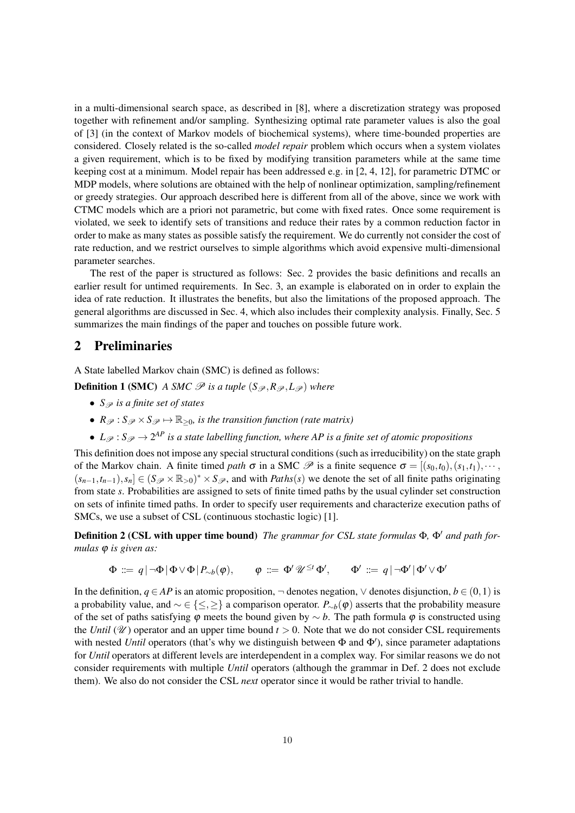in a multi-dimensional search space, as described in [8], where a discretization strategy was proposed together with refinement and/or sampling. Synthesizing optimal rate parameter values is also the goal of [3] (in the context of Markov models of biochemical systems), where time-bounded properties are considered. Closely related is the so-called *model repair* problem which occurs when a system violates a given requirement, which is to be fixed by modifying transition parameters while at the same time keeping cost at a minimum. Model repair has been addressed e.g. in [2, 4, 12], for parametric DTMC or MDP models, where solutions are obtained with the help of nonlinear optimization, sampling/refinement or greedy strategies. Our approach described here is different from all of the above, since we work with CTMC models which are a priori not parametric, but come with fixed rates. Once some requirement is violated, we seek to identify sets of transitions and reduce their rates by a common reduction factor in order to make as many states as possible satisfy the requirement. We do currently not consider the cost of rate reduction, and we restrict ourselves to simple algorithms which avoid expensive multi-dimensional parameter searches.

The rest of the paper is structured as follows: Sec. 2 provides the basic definitions and recalls an earlier result for untimed requirements. In Sec. 3, an example is elaborated on in order to explain the idea of rate reduction. It illustrates the benefits, but also the limitations of the proposed approach. The general algorithms are discussed in Sec. 4, which also includes their complexity analysis. Finally, Sec. 5 summarizes the main findings of the paper and touches on possible future work.

# 2 Preliminaries

A State labelled Markov chain (SMC) is defined as follows:

**Definition 1 (SMC)** *A SMC*  $\mathscr P$  *is a tuple* ( $S_{\mathscr P}, R_{\mathscr P}, L_{\mathscr P}$ ) where

- *S<sub>* $\mathcal{P}$ *</sub> is a finite set of states*
- $R_{\mathscr{P}} : S_{\mathscr{P}} \times S_{\mathscr{P}} \mapsto \mathbb{R}_{\geq 0}$ *, is the transition function (rate matrix)*
- $L_{\mathscr{P}}: S_{\mathscr{P}} \to 2^{AP}$  *is a state labelling function, where AP is a finite set of atomic propositions*

This definition does not impose any special structural conditions (such as irreducibility) on the state graph of the Markov chain. A finite timed *path*  $\sigma$  in a SMC  $\mathscr P$  is a finite sequence  $\sigma = [(s_0, t_0), (s_1, t_1), \cdots,$  $(s_{n-1}, t_{n-1}), s_n] \in (S_{\mathscr{P}} \times \mathbb{R}_{>0})^* \times S_{\mathscr{P}}$ , and with *Paths*(*s*) we denote the set of all finite paths originating from state *s*. Probabilities are assigned to sets of finite timed paths by the usual cylinder set construction on sets of infinite timed paths. In order to specify user requirements and characterize execution paths of SMCs, we use a subset of CSL (continuous stochastic logic) [1].

**Definition 2 (CSL with upper time bound)** *The grammar for CSL state formulas* Φ, Φ' *and path formulas* ϕ *is given as:*

$$
\Phi \ ::= q | \neg \Phi | \Phi \vee \Phi | P_{\sim b}(\varphi), \qquad \varphi \ ::= \Phi' \mathscr{U}^{\leq t} \Phi', \qquad \Phi' \ ::= q | \neg \Phi' | \Phi' \vee \Phi'
$$

In the definition,  $q ∈ AP$  is an atomic proposition,  $\neg$  denotes negation,  $\lor$  denotes disjunction,  $b ∈ (0,1)$  is a probability value, and ∼ ∈ {≤,≥} a comparison operator. *P*∼*b*(ϕ) asserts that the probability measure of the set of paths satisfying  $\varphi$  meets the bound given by  $\sim b$ . The path formula  $\varphi$  is constructed using the *Until* ( $\mathcal{U}$ ) operator and an upper time bound  $t > 0$ . Note that we do not consider CSL requirements with nested *Until* operators (that's why we distinguish between  $\Phi$  and  $\Phi'$ ), since parameter adaptations for *Until* operators at different levels are interdependent in a complex way. For similar reasons we do not consider requirements with multiple *Until* operators (although the grammar in Def. 2 does not exclude them). We also do not consider the CSL *next* operator since it would be rather trivial to handle.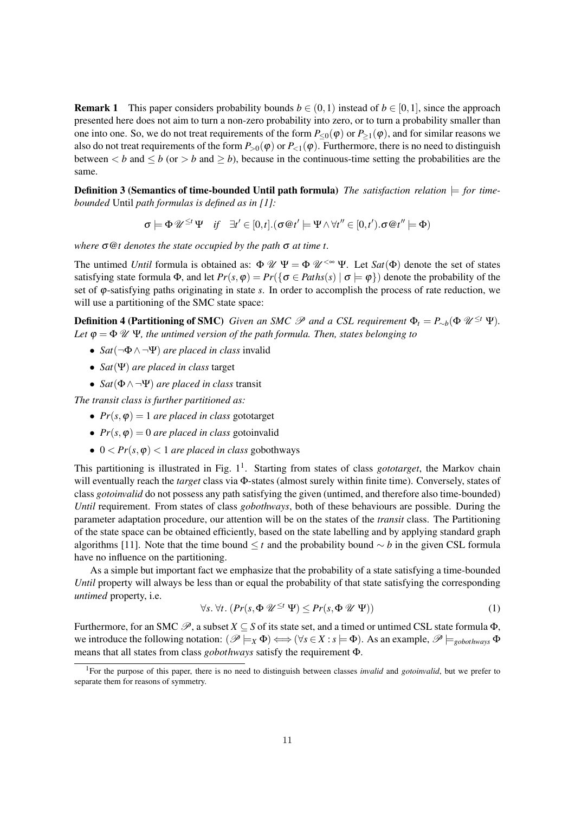**Remark 1** This paper considers probability bounds  $b \in (0,1)$  instead of  $b \in [0,1]$ , since the approach presented here does not aim to turn a non-zero probability into zero, or to turn a probability smaller than one into one. So, we do not treat requirements of the form  $P_{\leq 0}(\varphi)$  or  $P_{\geq 1}(\varphi)$ , and for similar reasons we also do not treat requirements of the form  $P_{>0}(\varphi)$  or  $P_{<1}(\varphi)$ . Furthermore, there is no need to distinguish between  $\lt b$  and  $\lt b$  (or  $\gt b$  and  $\gt b$ ), because in the continuous-time setting the probabilities are the same.

**Definition 3 (Semantics of time-bounded Until path formula)** *The satisfaction relation*  $\models$  *for timebounded* Until *path formulas is defined as in [1]:*

$$
\sigma \models \Phi \mathscr{U}^{\leq t} \Psi \quad \text{if} \quad \exists t' \in [0, t]. (\sigma \circledcirc t' \models \Psi \land \forall t'' \in [0, t'). \sigma \circledcirc t'' \models \Phi)
$$

*where* σ@*t denotes the state occupied by the path* σ *at time t.*

The untimed *Until* formula is obtained as:  $\Phi \mathcal{U} \Psi = \Phi \mathcal{U}^{<\infty} \Psi$ . Let  $Sat(\Phi)$  denote the set of states satisfying state formula  $\Phi$ , and let  $Pr(s, \phi) = Pr(\{\sigma \in Paths(s) \mid \sigma \models \phi\})$  denote the probability of the set of ϕ-satisfying paths originating in state *s*. In order to accomplish the process of rate reduction, we will use a partitioning of the SMC state space:

**Definition 4 (Partitioning of SMC)** *Given an SMC*  $\mathscr P$  *and a CSL requirement*  $\Phi_t = P_{\sim b}(\Phi \mathscr U^{\leq t} \Psi)$ *. Let*  $\varphi = \Phi \mathcal{U} \Psi$ , the untimed version of the path formula. Then, states belonging to

- *Sat*(¬Φ∧ ¬Ψ) *are placed in class* invalid
- *Sat*(Ψ) *are placed in class* target
- *Sat*(Φ∧ ¬Ψ) *are placed in class* transit

*The transit class is further partitioned as:*

- $Pr(s, \varphi) = 1$  *are placed in class* gototarget
- $Pr(s, \varphi) = 0$  *are placed in class* gotoinvalid
- $0 < Pr(s, \varphi) < 1$  *are placed in class* gobothways

This partitioning is illustrated in Fig. 1<sup>1</sup>. Starting from states of class *gototarget*, the Markov chain will eventually reach the *target* class via Φ-states (almost surely within finite time). Conversely, states of class *gotoinvalid* do not possess any path satisfying the given (untimed, and therefore also time-bounded) *Until* requirement. From states of class *gobothways*, both of these behaviours are possible. During the parameter adaptation procedure, our attention will be on the states of the *transit* class. The Partitioning of the state space can be obtained efficiently, based on the state labelling and by applying standard graph algorithms [11]. Note that the time bound ≤ *t* and the probability bound ∼ *b* in the given CSL formula have no influence on the partitioning.

As a simple but important fact we emphasize that the probability of a state satisfying a time-bounded *Until* property will always be less than or equal the probability of that state satisfying the corresponding *untimed* property, i.e.

$$
\forall s. \ \forall t. \ (Pr(s, \Phi \ \mathscr{U}^{\leq t} \ \Psi) \leq Pr(s, \Phi \ \mathscr{U} \ \Psi)) \tag{1}
$$

Furthermore, for an SMC  $\mathscr{P}$ , a subset  $X \subseteq S$  of its state set, and a timed or untimed CSL state formula  $\Phi$ , we introduce the following notation:  $(\mathscr{P} \models_X \Phi) \Longleftrightarrow (\forall s \in X : s \models \Phi)$ . As an example,  $\mathscr{P} \models_{\text{evbothways}} \Phi$ means that all states from class *gobothways* satisfy the requirement Φ.

<sup>1</sup>For the purpose of this paper, there is no need to distinguish between classes *invalid* and *gotoinvalid*, but we prefer to separate them for reasons of symmetry.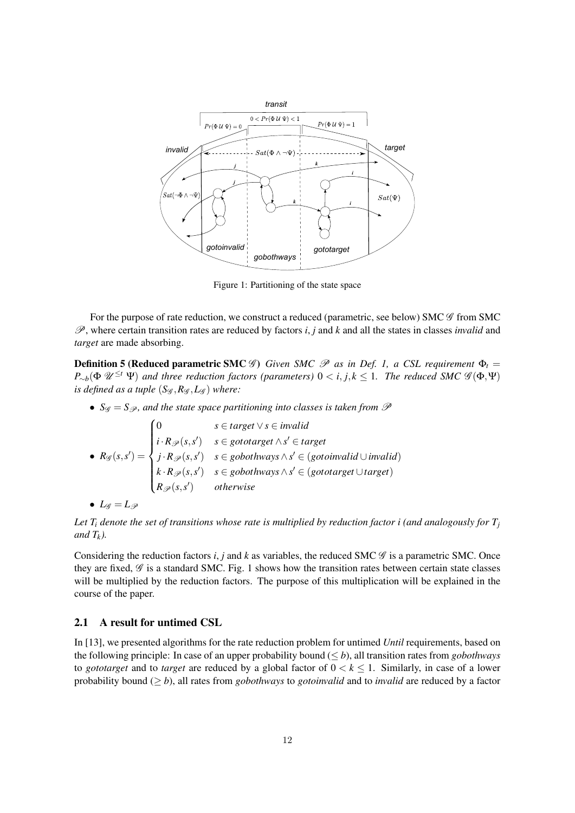

Figure 1: Partitioning of the state space

For the purpose of rate reduction, we construct a reduced (parametric, see below) SMC  $\mathscr G$  from SMC P, where certain transition rates are reduced by factors *i*, *j* and *k* and all the states in classes *invalid* and *target* are made absorbing.

**Definition 5 (Reduced parametric SMC**  $\mathscr G$ ) *Given SMC*  $\mathscr P$  *as in Def. 1, a CSL requirement*  $\Phi_t =$  $P_{\sim b}(\Phi \mathscr{U}^{\leq t} \Psi)$  and three reduction factors (parameters)  $0 < i, j, k \leq 1$ . The reduced SMC  $\mathscr{G}(\Phi, \Psi)$ *is defined as a tuple*  $(S_{\mathscr{G}}, R_{\mathscr{G}}, L_{\mathscr{G}})$  where:

•  $S_g = S_g$ , and the state space partitioning into classes is taken from  $\mathscr P$ 

•  $R_{\mathscr{G}}(s, s') =$  $\sqrt{ }$  $\begin{matrix} \phantom{-} \end{matrix}$  $\overline{\phantom{a}}$ 0 *s* ∈ *target* ∨*s* ∈ *invalid i* ⋅ *R*<sub>P</sub>( $s, s'$ ) *s* ∈ *gototarget* ∧  $s'$  ∈ *target*  $j \cdot R_{\mathscr{P}}(s, s')$  *s* ∈ *gobothways*  $\land s' \in (gotoinvalid \cup invalid)$  $k \cdot R$ <sub> $\mathscr{P}(s, s')$  *s* ∈ *gobothways* ∧ *s*<sup> $\prime$ </sup> ∈ (*gototarget* ∪ *target*)</sub> *R*P(*s*,*s* 0 ) *otherwise*

$$
\bullet \ \ L_{\mathscr G}=L_{\mathscr P}
$$

*Let*  $T_i$  *denote the set of transitions whose rate is multiplied by reduction factor i (and analogously for*  $T_i$ *and Tk).*

Considering the reduction factors *i*, *j* and *k* as variables, the reduced SMC  $\mathscr G$  is a parametric SMC. Once they are fixed,  $\mathscr G$  is a standard SMC. Fig. 1 shows how the transition rates between certain state classes will be multiplied by the reduction factors. The purpose of this multiplication will be explained in the course of the paper.

### 2.1 A result for untimed CSL

In [13], we presented algorithms for the rate reduction problem for untimed *Until* requirements, based on the following principle: In case of an upper probability bound (≤ *b*), all transition rates from *gobothways* to *gototarget* and to *target* are reduced by a global factor of  $0 < k \le 1$ . Similarly, in case of a lower probability bound (≥ *b*), all rates from *gobothways* to *gotoinvalid* and to *invalid* are reduced by a factor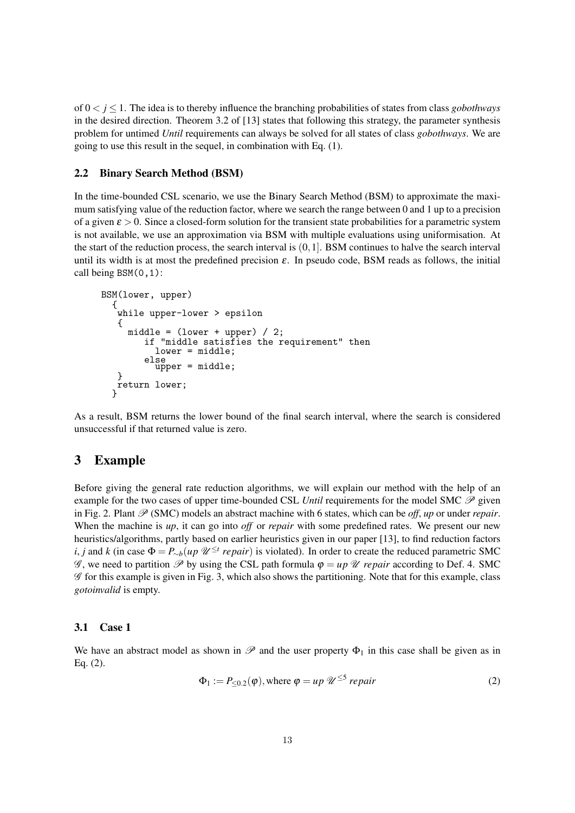of  $0 < j \leq 1$ . The idea is to thereby influence the branching probabilities of states from class *gobothways* in the desired direction. Theorem 3.2 of [13] states that following this strategy, the parameter synthesis problem for untimed *Until* requirements can always be solved for all states of class *gobothways*. We are going to use this result in the sequel, in combination with Eq. (1).

### 2.2 Binary Search Method (BSM)

In the time-bounded CSL scenario, we use the Binary Search Method (BSM) to approximate the maximum satisfying value of the reduction factor, where we search the range between 0 and 1 up to a precision of a given  $\varepsilon > 0$ . Since a closed-form solution for the transient state probabilities for a parametric system is not available, we use an approximation via BSM with multiple evaluations using uniformisation. At the start of the reduction process, the search interval is  $(0,1]$ . BSM continues to halve the search interval until its width is at most the predefined precision  $\varepsilon$ . In pseudo code, BSM reads as follows, the initial call being  $BSM(0,1)$ :

```
BSM(lower, upper)
{
 while upper-lower > epsilon
 {
   middle = (lower + upper) / 2;if "middle satisfies the requirement" then
        lower = middle;
      else
        upper = middle:
 }
 return lower;
}
```
As a result, BSM returns the lower bound of the final search interval, where the search is considered unsuccessful if that returned value is zero.

# 3 Example

Before giving the general rate reduction algorithms, we will explain our method with the help of an example for the two cases of upper time-bounded CSL *Until* requirements for the model SMC  $\mathscr{P}$  given in Fig. 2. Plant  $\mathcal{P}$  (SMC) models an abstract machine with 6 states, which can be *off*, *up* or under *repair*. When the machine is *up*, it can go into *off* or *repair* with some predefined rates. We present our new heuristics/algorithms, partly based on earlier heuristics given in our paper [13], to find reduction factors *i*, *j* and *k* (in case  $\Phi = P_{\sim b}(up \ \mathscr{U}^{\leq t} repair)$  is violated). In order to create the reduced parametric SMC  $\mathscr{G}$ , we need to partition  $\mathscr{P}$  by using the CSL path formula  $\varphi = up \mathscr{U}$  *repair* according to Def. 4. SMC  $\mathscr G$  for this example is given in Fig. 3, which also shows the partitioning. Note that for this example, class *gotoinvalid* is empty.

### 3.1 Case 1

We have an abstract model as shown in  $\mathscr P$  and the user property  $\Phi_1$  in this case shall be given as in Eq. (2).

$$
\Phi_1 := P_{\leq 0.2}(\varphi), \text{ where } \varphi = up \ \mathscr{U}^{\leq 5} \ \text{ repair} \tag{2}
$$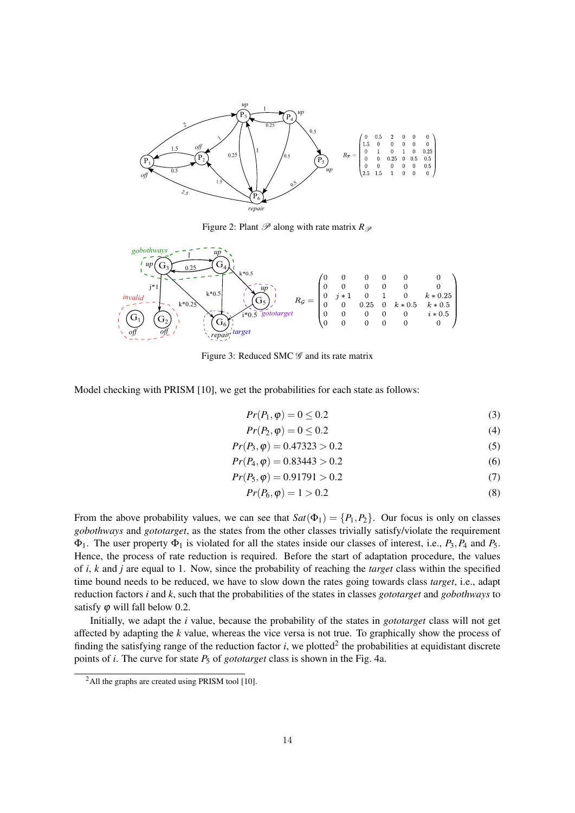

Figure 2: Plant  $\mathscr P$  along with rate matrix  $R_{\mathscr P}$ 



Figure 3: Reduced SMC  $\mathscr G$  and its rate matrix

Model checking with PRISM [10], we get the probabilities for each state as follows:

$$
Pr(P_1, \varphi) = 0 \le 0.2
$$
\n<sup>(3)</sup>

$$
Pr(P_2, \varphi) = 0 \le 0.2\tag{4}
$$

$$
Pr(P_3, \varphi) = 0.47323 > 0.2
$$
\n(5)

$$
Pr(P_4, \varphi) = 0.83443 > 0.2
$$
\n<sup>(6)</sup>

$$
Pr(P_5, \varphi) = 0.91791 > 0.2
$$
\n(7)

$$
Pr(P_6, \varphi) = 1 > 0.2
$$
 (8)

From the above probability values, we can see that  $Sat(\Phi_1) = \{P_1, P_2\}$ . Our focus is only on classes *gobothways* and *gototarget*, as the states from the other classes trivially satisfy/violate the requirement Φ1. The user property Φ<sup>1</sup> is violated for all the states inside our classes of interest, i.e., *P*3,*P*<sup>4</sup> and *P*5. Hence, the process of rate reduction is required. Before the start of adaptation procedure, the values of *i*, *k* and *j* are equal to 1. Now, since the probability of reaching the *target* class within the specified time bound needs to be reduced, we have to slow down the rates going towards class *target*, i.e., adapt reduction factors *i* and *k*, such that the probabilities of the states in classes *gototarget* and *gobothways* to satisfy  $\varphi$  will fall below 0.2.

Initially, we adapt the *i* value, because the probability of the states in *gototarget* class will not get affected by adapting the *k* value, whereas the vice versa is not true. To graphically show the process of finding the satisfying range of the reduction factor  $i$ , we plotted<sup>2</sup> the probabilities at equidistant discrete points of *i*. The curve for state  $P_5$  of *gototarget* class is shown in the Fig. 4a.

<sup>&</sup>lt;sup>2</sup>All the graphs are created using PRISM tool [10].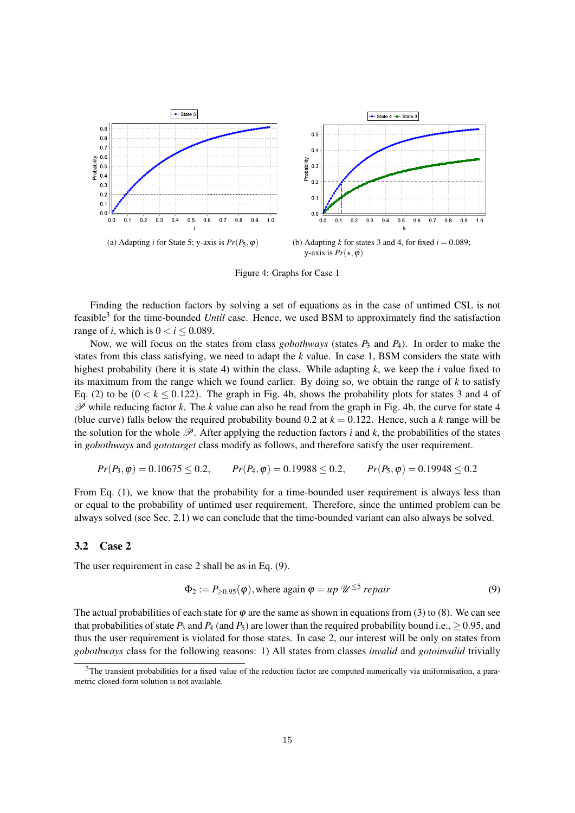

Figure 4: Graphs for Case 1

Finding the reduction factors by solving a set of equations as in the case of untimed CSL is not feasible<sup>3</sup> for the time-bounded *Until* case. Hence, we used BSM to approximately find the satisfaction range of *i*, which is  $0 < i \leq 0.089$ .

Now, we will focus on the states from class *gobothways* (states  $P_3$  and  $P_4$ ). In order to make the states from this class satisfying, we need to adapt the *k* value. In case 1, BSM considers the state with highest probability (here it is state 4) within the class. While adapting *k*, we keep the *i* value fixed to its maximum from the range which we found earlier. By doing so, we obtain the range of *k* to satisfy Eq. (2) to be  $(0 < k \le 0.122)$ . The graph in Fig. 4b, shows the probability plots for states 3 and 4 of  $\mathscr P$  while reducing factor *k*. The *k* value can also be read from the graph in Fig. 4b, the curve for state 4 (blue curve) falls below the required probability bound 0.2 at  $k = 0.122$ . Hence, such a *k* range will be the solution for the whole  $\mathscr{P}$ . After applying the reduction factors *i* and *k*, the probabilities of the states in *gobothways* and *gototarget* class modify as follows, and therefore satisfy the user requirement.

$$
Pr(P_3, \varphi) = 0.10675 \le 0.2
$$
,  $Pr(P_4, \varphi) = 0.19988 \le 0.2$ ,  $Pr(P_5, \varphi) = 0.19948 \le 0.2$ 

From Eq. (1), we know that the probability for a time-bounded user requirement is always less than or equal to the probability of untimed user requirement. Therefore, since the untimed problem can be always solved (see Sec. 2.1) we can conclude that the time-bounded variant can also always be solved.

#### 3.2 Case 2

The user requirement in case 2 shall be as in Eq. (9).

$$
\Phi_2 := P_{\geq 0.95}(\varphi), \text{where again } \varphi = up \, \mathscr{U}^{\leq 5} \, \text{repair} \tag{9}
$$

The actual probabilities of each state for  $\varphi$  are the same as shown in equations from (3) to (8). We can see that probabilities of state  $P_3$  and  $P_4$  (and  $P_5$ ) are lower than the required probability bound i.e.,  $\geq 0.95$ , and thus the user requirement is violated for those states. In case 2, our interest will be only on states from *gobothways* class for the following reasons: 1) All states from classes *invalid* and *gotoinvalid* trivially

<sup>&</sup>lt;sup>3</sup>The transient probabilities for a fixed value of the reduction factor are computed numerically via uniformisation, a parametric closed-form solution is not available.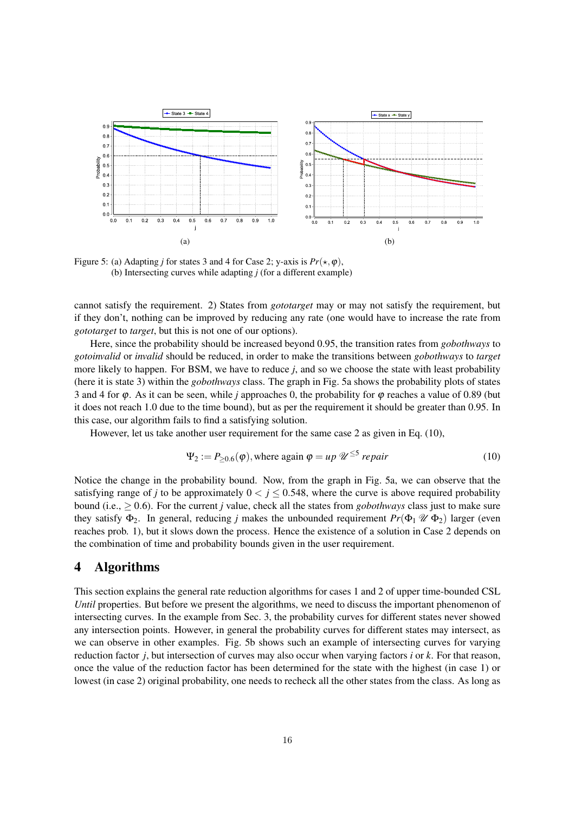

Figure 5: (a) Adapting *j* for states 3 and 4 for Case 2; y-axis is  $Pr(\star, \varphi)$ , (b) Intersecting curves while adapting *j* (for a different example)

cannot satisfy the requirement. 2) States from *gototarget* may or may not satisfy the requirement, but if they don't, nothing can be improved by reducing any rate (one would have to increase the rate from *gototarget* to *target*, but this is not one of our options).

Here, since the probability should be increased beyond 0.95, the transition rates from *gobothways* to *gotoinvalid* or *invalid* should be reduced, in order to make the transitions between *gobothways* to *target* more likely to happen. For BSM, we have to reduce *j*, and so we choose the state with least probability (here it is state 3) within the *gobothways* class. The graph in Fig. 5a shows the probability plots of states 3 and 4 for  $\varphi$ . As it can be seen, while *j* approaches 0, the probability for  $\varphi$  reaches a value of 0.89 (but it does not reach 1.0 due to the time bound), but as per the requirement it should be greater than 0.95. In this case, our algorithm fails to find a satisfying solution.

However, let us take another user requirement for the same case 2 as given in Eq. (10),

$$
\Psi_2 := P_{\geq 0.6}(\varphi), \text{where again } \varphi = up \, \mathscr{U}^{\leq 5} \, \text{repair} \tag{10}
$$

Notice the change in the probability bound. Now, from the graph in Fig. 5a, we can observe that the satisfying range of *j* to be approximately  $0 < j \leq 0.548$ , where the curve is above required probability bound (i.e., ≥ 0.6). For the current *j* value, check all the states from *gobothways* class just to make sure they satisfy  $\Phi_2$ . In general, reducing *j* makes the unbounded requirement  $Pr(\Phi_1 \mathcal{U} \Phi_2)$  larger (even reaches prob. 1), but it slows down the process. Hence the existence of a solution in Case 2 depends on the combination of time and probability bounds given in the user requirement.

# 4 Algorithms

This section explains the general rate reduction algorithms for cases 1 and 2 of upper time-bounded CSL *Until* properties. But before we present the algorithms, we need to discuss the important phenomenon of intersecting curves. In the example from Sec. 3, the probability curves for different states never showed any intersection points. However, in general the probability curves for different states may intersect, as we can observe in other examples. Fig. 5b shows such an example of intersecting curves for varying reduction factor *j*, but intersection of curves may also occur when varying factors *i* or *k*. For that reason, once the value of the reduction factor has been determined for the state with the highest (in case 1) or lowest (in case 2) original probability, one needs to recheck all the other states from the class. As long as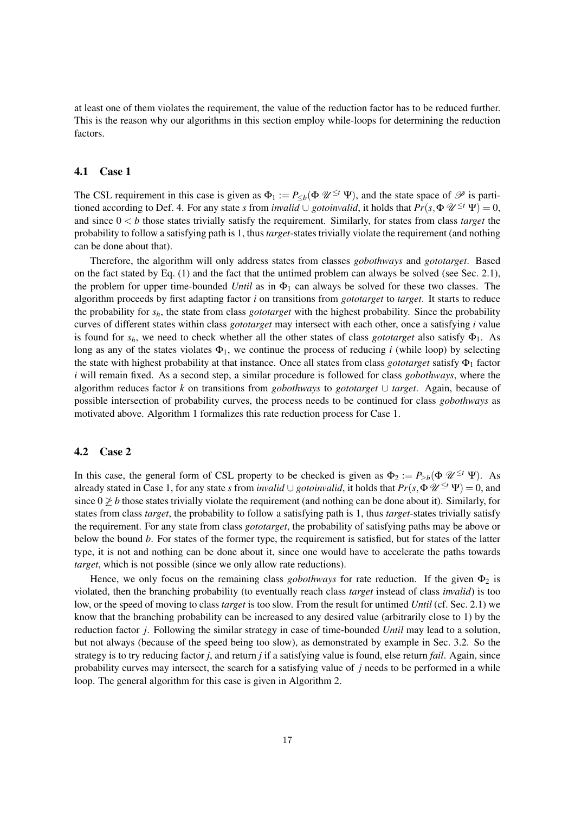at least one of them violates the requirement, the value of the reduction factor has to be reduced further. This is the reason why our algorithms in this section employ while-loops for determining the reduction factors.

#### 4.1 Case 1

The CSL requirement in this case is given as  $\Phi_1 := P_{\leq b}(\Phi \mathscr{U}^{\leq t} \Psi)$ , and the state space of  $\mathscr{P}$  is partitioned according to Def. 4. For any state *s* from *invalid* ∪ *gotoinvalid*, it holds that  $Pr(s, \Phi \mathscr{U}^{\leq t} \Psi) = 0$ , and since 0 < *b* those states trivially satisfy the requirement. Similarly, for states from class *target* the probability to follow a satisfying path is 1, thus *target*-states trivially violate the requirement (and nothing can be done about that).

Therefore, the algorithm will only address states from classes *gobothways* and *gototarget*. Based on the fact stated by Eq. (1) and the fact that the untimed problem can always be solved (see Sec. 2.1), the problem for upper time-bounded *Until* as in  $\Phi_1$  can always be solved for these two classes. The algorithm proceeds by first adapting factor *i* on transitions from *gototarget* to *target*. It starts to reduce the probability for *sh*, the state from class *gototarget* with the highest probability. Since the probability curves of different states within class *gototarget* may intersect with each other, once a satisfying *i* value is found for *sh*, we need to check whether all the other states of class *gototarget* also satisfy Φ1. As long as any of the states violates  $\Phi_1$ , we continue the process of reducing *i* (while loop) by selecting the state with highest probability at that instance. Once all states from class *gototarget* satisfy Φ<sup>1</sup> factor *i* will remain fixed. As a second step, a similar procedure is followed for class *gobothways*, where the algorithm reduces factor *k* on transitions from *gobothways* to *gototarget* ∪ *target*. Again, because of possible intersection of probability curves, the process needs to be continued for class *gobothways* as motivated above. Algorithm 1 formalizes this rate reduction process for Case 1.

### 4.2 Case 2

In this case, the general form of CSL property to be checked is given as  $\Phi_2 := P_{\geq b}(\Phi \mathscr{U}^{\leq t} \Psi)$ . As already stated in Case 1, for any state *s* from *invalid* ∪ *gotoinvalid*, it holds that  $Pr(s, \Phi \mathscr{U}^{\leq t} \Psi) = 0$ , and since  $0 \nless b$  those states trivially violate the requirement (and nothing can be done about it). Similarly, for states from class *target*, the probability to follow a satisfying path is 1, thus *target*-states trivially satisfy the requirement. For any state from class *gototarget*, the probability of satisfying paths may be above or below the bound *b*. For states of the former type, the requirement is satisfied, but for states of the latter type, it is not and nothing can be done about it, since one would have to accelerate the paths towards *target*, which is not possible (since we only allow rate reductions).

Hence, we only focus on the remaining class *gobothways* for rate reduction. If the given  $\Phi_2$  is violated, then the branching probability (to eventually reach class *target* instead of class *invalid*) is too low, or the speed of moving to class *target* is too slow. From the result for untimed *Until* (cf. Sec. 2.1) we know that the branching probability can be increased to any desired value (arbitrarily close to 1) by the reduction factor *j*. Following the similar strategy in case of time-bounded *Until* may lead to a solution, but not always (because of the speed being too slow), as demonstrated by example in Sec. 3.2. So the strategy is to try reducing factor *j*, and return *j* if a satisfying value is found, else return *fail*. Again, since probability curves may intersect, the search for a satisfying value of *j* needs to be performed in a while loop. The general algorithm for this case is given in Algorithm 2.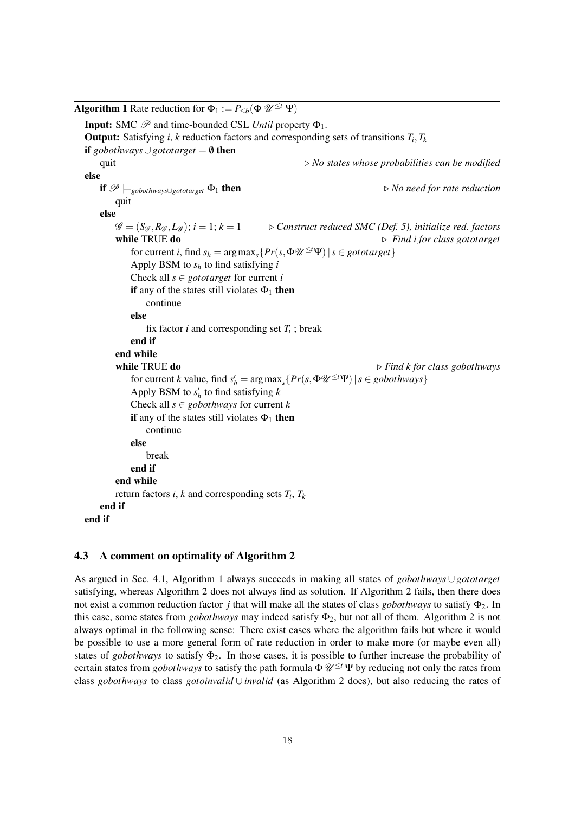| <b>Algorithm 1</b> Rate reduction for $\Phi_1 := P_{\leq b}(\Phi \mathscr{U}^{\leq t} \Psi)$                          |                                                                                                                      |
|-----------------------------------------------------------------------------------------------------------------------|----------------------------------------------------------------------------------------------------------------------|
| <b>Input:</b> SMC $\mathcal{P}$ and time-bounded CSL <i>Until</i> property $\Phi_1$ .                                 |                                                                                                                      |
| <b>Output:</b> Satisfying <i>i</i> , <i>k</i> reduction factors and corresponding sets of transitions $T_i, T_k$      |                                                                                                                      |
| <b>if</b> gobothways $\cup$ gototarget = $\emptyset$ <b>then</b>                                                      |                                                                                                                      |
| quit                                                                                                                  | $\triangleright$ No states whose probabilities can be modified                                                       |
| else                                                                                                                  |                                                                                                                      |
| if $\mathscr{P}\models_{\text{gobothways}\cup \text{gototarget}} \Phi_1$ then                                         | $\triangleright$ No need for rate reduction                                                                          |
| quit                                                                                                                  |                                                                                                                      |
| else                                                                                                                  |                                                                                                                      |
| $\mathscr{G} = (S_{\mathscr{G}}, R_{\mathscr{G}}, L_{\mathscr{G}}); i = 1; k = 1$                                     | $\triangleright$ Construct reduced SMC (Def. 5), initialize red. factors                                             |
| while TRUE do                                                                                                         | $\triangleright$ Find i for class gototarget                                                                         |
| for current <i>i</i> , find $s_h = \arg \max_s \{ Pr(s, \Phi \mathcal{U}^{\leq t} \Psi)   s \in \text{gototarget} \}$ |                                                                                                                      |
| Apply BSM to $s_h$ to find satisfying i                                                                               |                                                                                                                      |
| Check all $s \in gotot \text{arget}$ for current i                                                                    |                                                                                                                      |
| if any of the states still violates $\Phi_1$ then<br>continue                                                         |                                                                                                                      |
| else                                                                                                                  |                                                                                                                      |
| fix factor <i>i</i> and corresponding set $T_i$ ; break                                                               |                                                                                                                      |
| end if                                                                                                                |                                                                                                                      |
| end while                                                                                                             |                                                                                                                      |
| while TRUE do                                                                                                         | $\triangleright$ Find k for class gobothways                                                                         |
|                                                                                                                       | for current k value, find $s'_h = \arg \max_s \{ Pr(s, \Phi \mathcal{U}^{\leq t} \Psi)   s \in \text{gobothways} \}$ |
| Apply BSM to $s'_h$ to find satisfying k                                                                              |                                                                                                                      |
| Check all $s \in gobothways$ for current k                                                                            |                                                                                                                      |
| if any of the states still violates $\Phi_1$ then<br>continue                                                         |                                                                                                                      |
| else                                                                                                                  |                                                                                                                      |
| break                                                                                                                 |                                                                                                                      |
| end if                                                                                                                |                                                                                                                      |
| end while                                                                                                             |                                                                                                                      |
| return factors <i>i</i> , <i>k</i> and corresponding sets $T_i$ , $T_k$                                               |                                                                                                                      |
| end if                                                                                                                |                                                                                                                      |
| end if                                                                                                                |                                                                                                                      |
|                                                                                                                       |                                                                                                                      |

### 4.3 A comment on optimality of Algorithm 2

As argued in Sec. 4.1, Algorithm 1 always succeeds in making all states of *gobothways* ∪ *gototarget* satisfying, whereas Algorithm 2 does not always find as solution. If Algorithm 2 fails, then there does not exist a common reduction factor *j* that will make all the states of class *gobothways* to satisfy Φ2. In this case, some states from *gobothways* may indeed satisfy  $\Phi_2$ , but not all of them. Algorithm 2 is not always optimal in the following sense: There exist cases where the algorithm fails but where it would be possible to use a more general form of rate reduction in order to make more (or maybe even all) states of *gobothways* to satisfy  $\Phi_2$ . In those cases, it is possible to further increase the probability of certain states from *gobothways* to satisfy the path formula  $\Phi \mathscr{U}^{\leq t} \Psi$  by reducing not only the rates from class *gobothways* to class *gotoinvalid* ∪ *invalid* (as Algorithm 2 does), but also reducing the rates of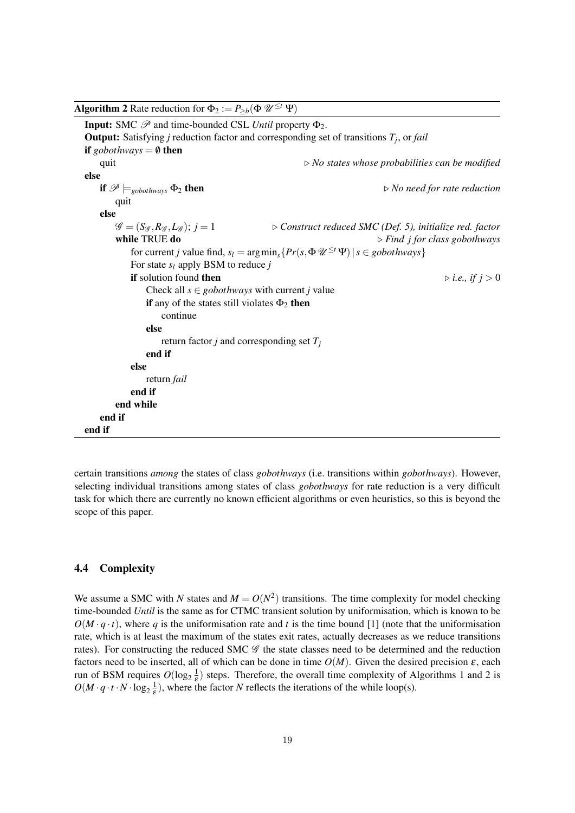| <b>Algorithm 2</b> Rate reduction for $\Phi_2 := P_{>b}(\Phi \mathscr{U}^{\leq t} \Psi)$                 |                                                                                                                     |
|----------------------------------------------------------------------------------------------------------|---------------------------------------------------------------------------------------------------------------------|
| <b>Input:</b> SMC $\mathcal{P}$ and time-bounded CSL Until property $\Phi_2$ .                           |                                                                                                                     |
| <b>Output:</b> Satisfying <i>j</i> reduction factor and corresponding set of transitions $T_i$ , or fail |                                                                                                                     |
| <b>if</b> gobothways = $\emptyset$ then                                                                  |                                                                                                                     |
| quit                                                                                                     | $\triangleright$ No states whose probabilities can be modified                                                      |
| else                                                                                                     |                                                                                                                     |
| if $\mathscr{P}\models_{\text{gobothways}} \Phi_2$ then                                                  | $\triangleright$ No need for rate reduction                                                                         |
| quit                                                                                                     |                                                                                                                     |
| else                                                                                                     |                                                                                                                     |
| $\mathscr{G} = (S_{\mathscr{G}}, R_{\mathscr{G}}, L_{\mathscr{G}}); j = 1$                               | $\triangleright$ Construct reduced SMC (Def. 5), initialize red. factor                                             |
| while TRUE do                                                                                            | $\triangleright$ Find j for class gobothways                                                                        |
|                                                                                                          | for current j value find, $s_l = \arg \min_s \{ Pr(s, \Phi \mathcal{U}^{\leq t} \Psi)   s \in \text{gobothways} \}$ |
| For state $s_l$ apply BSM to reduce j                                                                    |                                                                                                                     |
| if solution found then                                                                                   | $\triangleright$ <i>i.e.</i> , <i>if</i> $j > 0$                                                                    |
| Check all $s \in gobothways$ with current j value                                                        |                                                                                                                     |
| if any of the states still violates $\Phi_2$ then                                                        |                                                                                                                     |
| continue                                                                                                 |                                                                                                                     |
| else                                                                                                     |                                                                                                                     |
| return factor <i>j</i> and corresponding set $T_i$                                                       |                                                                                                                     |
| end if                                                                                                   |                                                                                                                     |
| else                                                                                                     |                                                                                                                     |
| return fail                                                                                              |                                                                                                                     |
| end if                                                                                                   |                                                                                                                     |
| end while                                                                                                |                                                                                                                     |
| end if                                                                                                   |                                                                                                                     |
| end if                                                                                                   |                                                                                                                     |

certain transitions *among* the states of class *gobothways* (i.e. transitions within *gobothways*). However, selecting individual transitions among states of class *gobothways* for rate reduction is a very difficult task for which there are currently no known efficient algorithms or even heuristics, so this is beyond the scope of this paper.

### 4.4 Complexity

We assume a SMC with *N* states and  $M = O(N^2)$  transitions. The time complexity for model checking time-bounded *Until* is the same as for CTMC transient solution by uniformisation, which is known to be  $O(M \cdot q \cdot t)$ , where *q* is the uniformisation rate and *t* is the time bound [1] (note that the uniformisation rate, which is at least the maximum of the states exit rates, actually decreases as we reduce transitions rates). For constructing the reduced SMC  $\mathscr G$  the state classes need to be determined and the reduction factors need to be inserted, all of which can be done in time  $O(M)$ . Given the desired precision  $\varepsilon$ , each run of BSM requires  $O(\log_2 \frac{1}{\epsilon})$  steps. Therefore, the overall time complexity of Algorithms 1 and 2 is  $O(M \cdot q \cdot t \cdot N \cdot \log_2 \frac{1}{\epsilon})$ , where the factor *N* reflects the iterations of the while loop(s).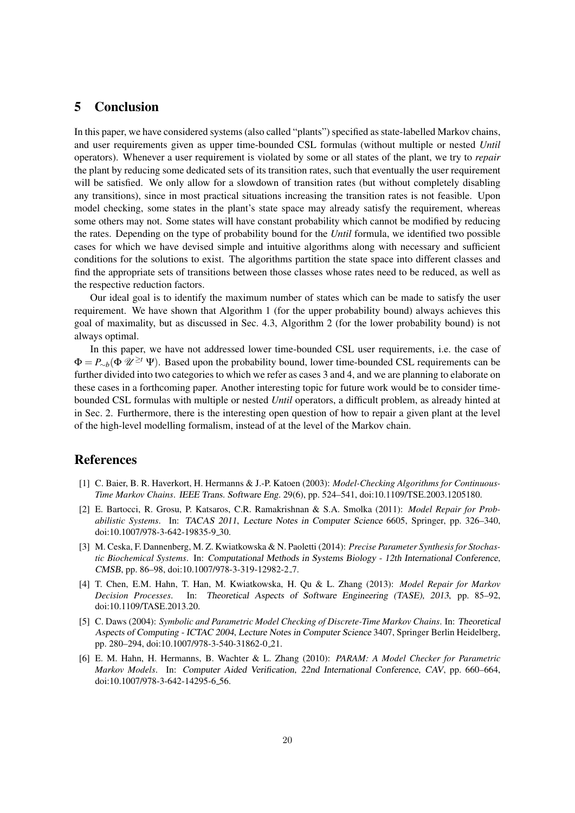## 5 Conclusion

In this paper, we have considered systems (also called "plants") specified as state-labelled Markov chains, and user requirements given as upper time-bounded CSL formulas (without multiple or nested *Until* operators). Whenever a user requirement is violated by some or all states of the plant, we try to *repair* the plant by reducing some dedicated sets of its transition rates, such that eventually the user requirement will be satisfied. We only allow for a slowdown of transition rates (but without completely disabling any transitions), since in most practical situations increasing the transition rates is not feasible. Upon model checking, some states in the plant's state space may already satisfy the requirement, whereas some others may not. Some states will have constant probability which cannot be modified by reducing the rates. Depending on the type of probability bound for the *Until* formula, we identified two possible cases for which we have devised simple and intuitive algorithms along with necessary and sufficient conditions for the solutions to exist. The algorithms partition the state space into different classes and find the appropriate sets of transitions between those classes whose rates need to be reduced, as well as the respective reduction factors.

Our ideal goal is to identify the maximum number of states which can be made to satisfy the user requirement. We have shown that Algorithm 1 (for the upper probability bound) always achieves this goal of maximality, but as discussed in Sec. 4.3, Algorithm 2 (for the lower probability bound) is not always optimal.

In this paper, we have not addressed lower time-bounded CSL user requirements, i.e. the case of <sup>Φ</sup> <sup>=</sup> *<sup>P</sup>*∼*b*(<sup>Φ</sup> <sup>U</sup> <sup>≥</sup>*<sup>t</sup>* <sup>Ψ</sup>). Based upon the probability bound, lower time-bounded CSL requirements can be further divided into two categories to which we refer as cases 3 and 4, and we are planning to elaborate on these cases in a forthcoming paper. Another interesting topic for future work would be to consider timebounded CSL formulas with multiple or nested *Until* operators, a difficult problem, as already hinted at in Sec. 2. Furthermore, there is the interesting open question of how to repair a given plant at the level of the high-level modelling formalism, instead of at the level of the Markov chain.

# References

- [1] C. Baier, B. R. Haverkort, H. Hermanns & J.-P. Katoen (2003): *Model-Checking Algorithms for Continuous-Time Markov Chains*. IEEE Trans. Software Eng. 29(6), pp. 524–541, doi:10.1109/TSE.2003.1205180.
- [2] E. Bartocci, R. Grosu, P. Katsaros, C.R. Ramakrishnan & S.A. Smolka (2011): *Model Repair for Probabilistic Systems*. In: TACAS 2011, Lecture Notes in Computer Science 6605, Springer, pp. 326–340, doi:10.1007/978-3-642-19835-9 30.
- [3] M. Ceska, F. Dannenberg, M. Z. Kwiatkowska & N. Paoletti (2014): *Precise Parameter Synthesis for Stochastic Biochemical Systems*. In: Computational Methods in Systems Biology - 12th International Conference, CMSB, pp. 86–98, doi:10.1007/978-3-319-12982-2 7.
- [4] T. Chen, E.M. Hahn, T. Han, M. Kwiatkowska, H. Qu & L. Zhang (2013): *Model Repair for Markov Decision Processes*. In: Theoretical Aspects of Software Engineering (TASE), 2013, pp. 85–92, doi:10.1109/TASE.2013.20.
- [5] C. Daws (2004): *Symbolic and Parametric Model Checking of Discrete-Time Markov Chains*. In: Theoretical Aspects of Computing - ICTAC 2004, Lecture Notes in Computer Science 3407, Springer Berlin Heidelberg, pp. 280–294, doi:10.1007/978-3-540-31862-0 21.
- [6] E. M. Hahn, H. Hermanns, B. Wachter & L. Zhang (2010): *PARAM: A Model Checker for Parametric Markov Models*. In: Computer Aided Verification, 22nd International Conference, CAV, pp. 660–664, doi:10.1007/978-3-642-14295-6<sub>-</sub>56.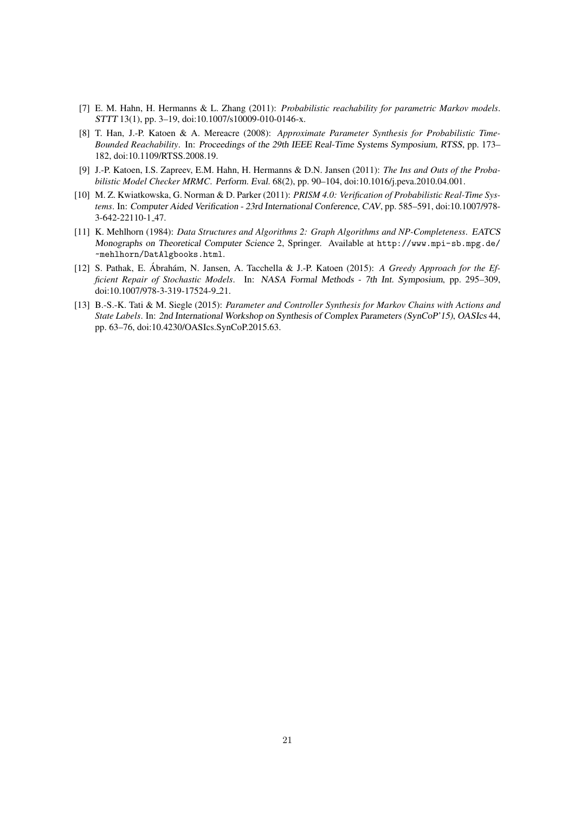- [7] E. M. Hahn, H. Hermanns & L. Zhang (2011): *Probabilistic reachability for parametric Markov models*. STTT 13(1), pp. 3–19, doi:10.1007/s10009-010-0146-x.
- [8] T. Han, J.-P. Katoen & A. Mereacre (2008): *Approximate Parameter Synthesis for Probabilistic Time-Bounded Reachability*. In: Proceedings of the 29th IEEE Real-Time Systems Symposium, RTSS, pp. 173– 182, doi:10.1109/RTSS.2008.19.
- [9] J.-P. Katoen, I.S. Zapreev, E.M. Hahn, H. Hermanns & D.N. Jansen (2011): *The Ins and Outs of the Probabilistic Model Checker MRMC*. Perform. Eval. 68(2), pp. 90–104, doi:10.1016/j.peva.2010.04.001.
- [10] M. Z. Kwiatkowska, G. Norman & D. Parker (2011): *PRISM 4.0: Verification of Probabilistic Real-Time Systems*. In: Computer Aided Verification - 23rd International Conference, CAV, pp. 585–591, doi:10.1007/978- 3-642-22110-1 47.
- [11] K. Mehlhorn (1984): *Data Structures and Algorithms 2: Graph Algorithms and NP-Completeness*. EATCS Monographs on Theoretical Computer Science 2, Springer. Available at http://www.mpi-sb.mpg.de/ ~mehlhorn/DatAlgbooks.html.
- [12] S. Pathak, E. Ábrahám, N. Jansen, A. Tacchella & J.-P. Katoen (2015): A Greedy Approach for the Ef*ficient Repair of Stochastic Models*. In: NASA Formal Methods - 7th Int. Symposium, pp. 295–309, doi:10.1007/978-3-319-17524-9 21.
- [13] B.-S.-K. Tati & M. Siegle (2015): *Parameter and Controller Synthesis for Markov Chains with Actions and State Labels*. In: 2nd International Workshop on Synthesis of Complex Parameters (SynCoP'15), OASIcs 44, pp. 63–76, doi:10.4230/OASIcs.SynCoP.2015.63.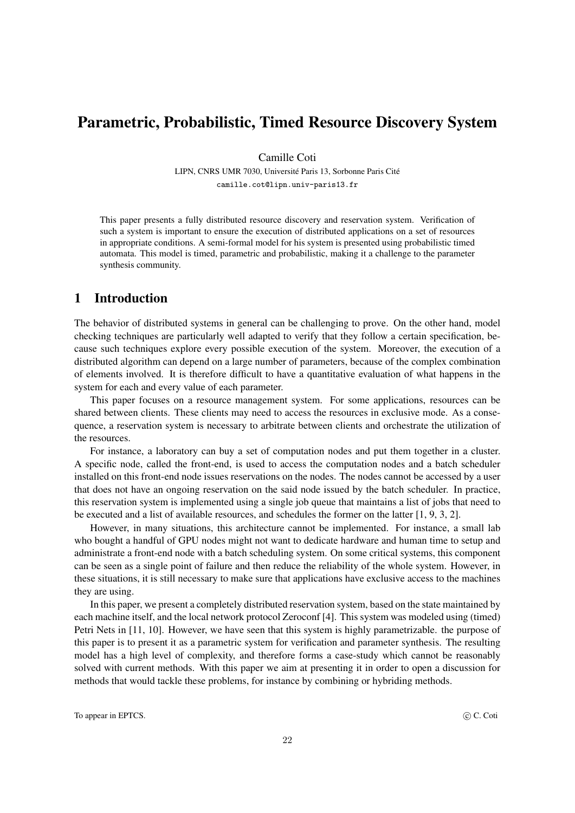# Parametric, Probabilistic, Timed Resource Discovery System

Camille Coti

LIPN, CNRS UMR 7030, Université Paris 13, Sorbonne Paris Cité camille.cot@lipn.univ-paris13.fr

This paper presents a fully distributed resource discovery and reservation system. Verification of such a system is important to ensure the execution of distributed applications on a set of resources in appropriate conditions. A semi-formal model for his system is presented using probabilistic timed automata. This model is timed, parametric and probabilistic, making it a challenge to the parameter synthesis community.

# 1 Introduction

The behavior of distributed systems in general can be challenging to prove. On the other hand, model checking techniques are particularly well adapted to verify that they follow a certain specification, because such techniques explore every possible execution of the system. Moreover, the execution of a distributed algorithm can depend on a large number of parameters, because of the complex combination of elements involved. It is therefore difficult to have a quantitative evaluation of what happens in the system for each and every value of each parameter.

This paper focuses on a resource management system. For some applications, resources can be shared between clients. These clients may need to access the resources in exclusive mode. As a consequence, a reservation system is necessary to arbitrate between clients and orchestrate the utilization of the resources.

For instance, a laboratory can buy a set of computation nodes and put them together in a cluster. A specific node, called the front-end, is used to access the computation nodes and a batch scheduler installed on this front-end node issues reservations on the nodes. The nodes cannot be accessed by a user that does not have an ongoing reservation on the said node issued by the batch scheduler. In practice, this reservation system is implemented using a single job queue that maintains a list of jobs that need to be executed and a list of available resources, and schedules the former on the latter [1, 9, 3, 2].

However, in many situations, this architecture cannot be implemented. For instance, a small lab who bought a handful of GPU nodes might not want to dedicate hardware and human time to setup and administrate a front-end node with a batch scheduling system. On some critical systems, this component can be seen as a single point of failure and then reduce the reliability of the whole system. However, in these situations, it is still necessary to make sure that applications have exclusive access to the machines they are using.

In this paper, we present a completely distributed reservation system, based on the state maintained by each machine itself, and the local network protocol Zeroconf [4]. This system was modeled using (timed) Petri Nets in [11, 10]. However, we have seen that this system is highly parametrizable. the purpose of this paper is to present it as a parametric system for verification and parameter synthesis. The resulting model has a high level of complexity, and therefore forms a case-study which cannot be reasonably solved with current methods. With this paper we aim at presenting it in order to open a discussion for methods that would tackle these problems, for instance by combining or hybriding methods.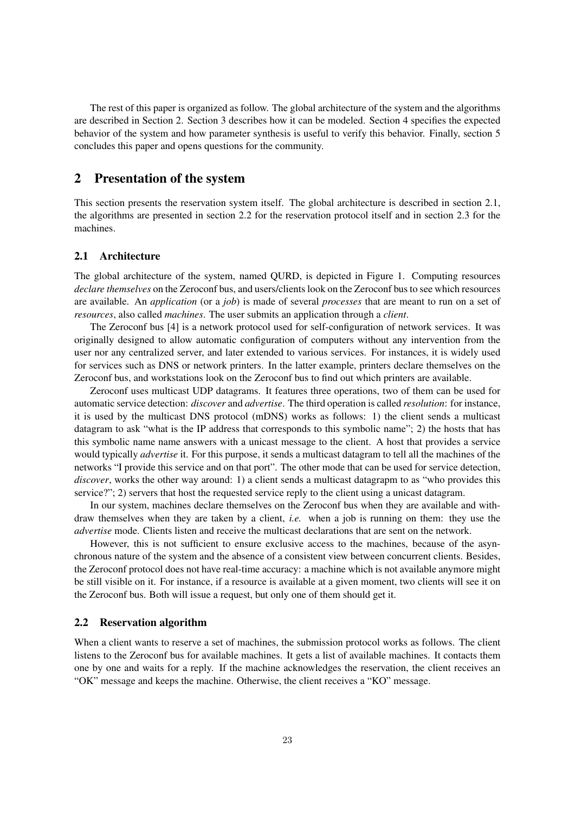The rest of this paper is organized as follow. The global architecture of the system and the algorithms are described in Section 2. Section 3 describes how it can be modeled. Section 4 specifies the expected behavior of the system and how parameter synthesis is useful to verify this behavior. Finally, section 5 concludes this paper and opens questions for the community.

# 2 Presentation of the system

This section presents the reservation system itself. The global architecture is described in section 2.1, the algorithms are presented in section 2.2 for the reservation protocol itself and in section 2.3 for the machines.

### 2.1 Architecture

The global architecture of the system, named QURD, is depicted in Figure 1. Computing resources *declare themselves* on the Zeroconf bus, and users/clients look on the Zeroconf bus to see which resources are available. An *application* (or a *job*) is made of several *processes* that are meant to run on a set of *resources*, also called *machines*. The user submits an application through a *client*.

The Zeroconf bus [4] is a network protocol used for self-configuration of network services. It was originally designed to allow automatic configuration of computers without any intervention from the user nor any centralized server, and later extended to various services. For instances, it is widely used for services such as DNS or network printers. In the latter example, printers declare themselves on the Zeroconf bus, and workstations look on the Zeroconf bus to find out which printers are available.

Zeroconf uses multicast UDP datagrams. It features three operations, two of them can be used for automatic service detection: *discover* and *advertise*. The third operation is called *resolution*: for instance, it is used by the multicast DNS protocol (mDNS) works as follows: 1) the client sends a multicast datagram to ask "what is the IP address that corresponds to this symbolic name"; 2) the hosts that has this symbolic name name answers with a unicast message to the client. A host that provides a service would typically *advertise* it. For this purpose, it sends a multicast datagram to tell all the machines of the networks "I provide this service and on that port". The other mode that can be used for service detection, *discover*, works the other way around: 1) a client sends a multicast datagrapm to as "who provides this service?"; 2) servers that host the requested service reply to the client using a unicast datagram.

In our system, machines declare themselves on the Zeroconf bus when they are available and withdraw themselves when they are taken by a client, *i.e.* when a job is running on them: they use the *advertise* mode. Clients listen and receive the multicast declarations that are sent on the network.

However, this is not sufficient to ensure exclusive access to the machines, because of the asynchronous nature of the system and the absence of a consistent view between concurrent clients. Besides, the Zeroconf protocol does not have real-time accuracy: a machine which is not available anymore might be still visible on it. For instance, if a resource is available at a given moment, two clients will see it on the Zeroconf bus. Both will issue a request, but only one of them should get it.

#### 2.2 Reservation algorithm

When a client wants to reserve a set of machines, the submission protocol works as follows. The client listens to the Zeroconf bus for available machines. It gets a list of available machines. It contacts them one by one and waits for a reply. If the machine acknowledges the reservation, the client receives an "OK" message and keeps the machine. Otherwise, the client receives a "KO" message.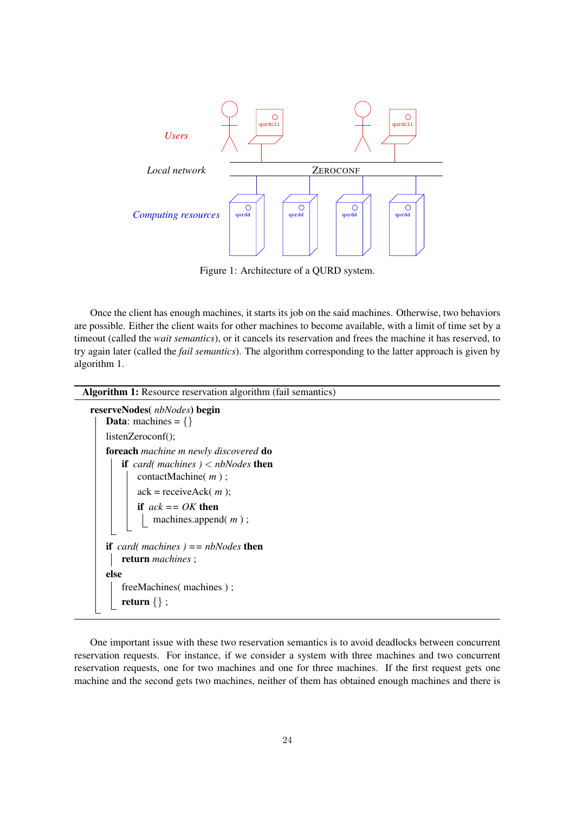

Figure 1: Architecture of a QURD system.

Once the client has enough machines, it starts its job on the said machines. Otherwise, two behaviors are possible. Either the client waits for other machines to become available, with a limit of time set by a timeout (called the *wait semantics*), or it cancels its reservation and frees the machine it has reserved, to try again later (called the *fail semantics*). The algorithm corresponding to the latter approach is given by algorithm 1.

```
Algorithm 1: Resource reservation algorithm (fail semantics)
reserveNodes( nbNodes) begin
   Data: machines = \{\}listenZeroconf();
   foreach machine m newly discovered do
       if card( machines ) < nbNodes then
          contactMachine( m ) ;
          ack = receiveAck( m );
          if ack == OK then
              machines.append( m ) ;
   if card( machines ) == nbNodes then
      return machines ;
   else
       freeMachines( machines ) ;
       return \{\};
```
One important issue with these two reservation semantics is to avoid deadlocks between concurrent reservation requests. For instance, if we consider a system with three machines and two concurrent reservation requests, one for two machines and one for three machines. If the first request gets one machine and the second gets two machines, neither of them has obtained enough machines and there is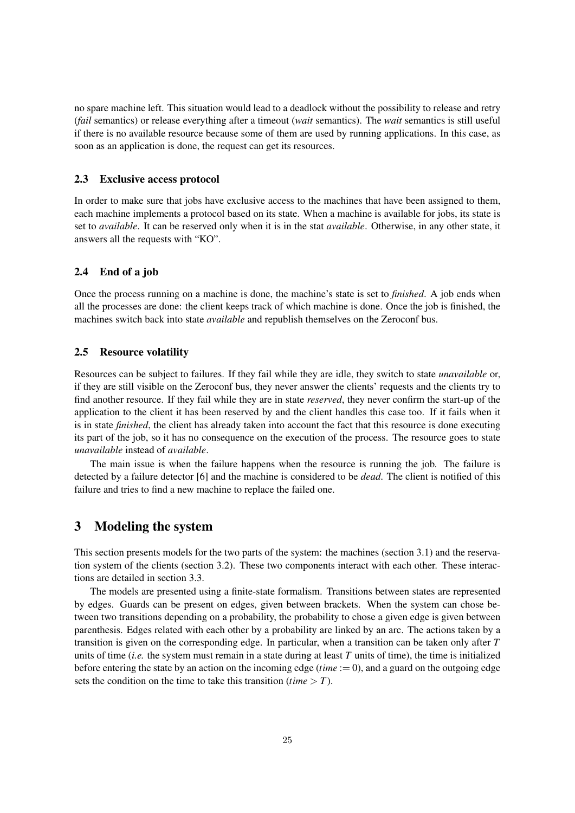no spare machine left. This situation would lead to a deadlock without the possibility to release and retry (*fail* semantics) or release everything after a timeout (*wait* semantics). The *wait* semantics is still useful if there is no available resource because some of them are used by running applications. In this case, as soon as an application is done, the request can get its resources.

#### 2.3 Exclusive access protocol

In order to make sure that jobs have exclusive access to the machines that have been assigned to them, each machine implements a protocol based on its state. When a machine is available for jobs, its state is set to *available*. It can be reserved only when it is in the stat *available*. Otherwise, in any other state, it answers all the requests with "KO".

### 2.4 End of a job

Once the process running on a machine is done, the machine's state is set to *finished*. A job ends when all the processes are done: the client keeps track of which machine is done. Once the job is finished, the machines switch back into state *available* and republish themselves on the Zeroconf bus.

### 2.5 Resource volatility

Resources can be subject to failures. If they fail while they are idle, they switch to state *unavailable* or, if they are still visible on the Zeroconf bus, they never answer the clients' requests and the clients try to find another resource. If they fail while they are in state *reserved*, they never confirm the start-up of the application to the client it has been reserved by and the client handles this case too. If it fails when it is in state *finished*, the client has already taken into account the fact that this resource is done executing its part of the job, so it has no consequence on the execution of the process. The resource goes to state *unavailable* instead of *available*.

The main issue is when the failure happens when the resource is running the job. The failure is detected by a failure detector [6] and the machine is considered to be *dead*. The client is notified of this failure and tries to find a new machine to replace the failed one.

# 3 Modeling the system

This section presents models for the two parts of the system: the machines (section 3.1) and the reservation system of the clients (section 3.2). These two components interact with each other. These interactions are detailed in section 3.3.

The models are presented using a finite-state formalism. Transitions between states are represented by edges. Guards can be present on edges, given between brackets. When the system can chose between two transitions depending on a probability, the probability to chose a given edge is given between parenthesis. Edges related with each other by a probability are linked by an arc. The actions taken by a transition is given on the corresponding edge. In particular, when a transition can be taken only after *T* units of time (*i.e.* the system must remain in a state during at least *T* units of time), the time is initialized before entering the state by an action on the incoming edge (*time* := 0), and a guard on the outgoing edge sets the condition on the time to take this transition (*time*  $> T$ ).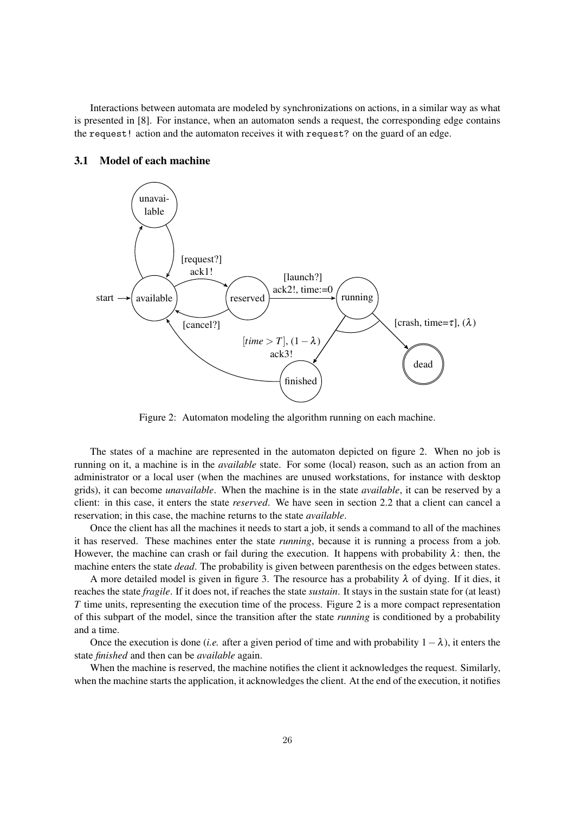Interactions between automata are modeled by synchronizations on actions, in a similar way as what is presented in [8]. For instance, when an automaton sends a request, the corresponding edge contains the request! action and the automaton receives it with request? on the guard of an edge.



#### 3.1 Model of each machine

Figure 2: Automaton modeling the algorithm running on each machine.

The states of a machine are represented in the automaton depicted on figure 2. When no job is running on it, a machine is in the *available* state. For some (local) reason, such as an action from an administrator or a local user (when the machines are unused workstations, for instance with desktop grids), it can become *unavailable*. When the machine is in the state *available*, it can be reserved by a client: in this case, it enters the state *reserved*. We have seen in section 2.2 that a client can cancel a reservation; in this case, the machine returns to the state *available*.

Once the client has all the machines it needs to start a job, it sends a command to all of the machines it has reserved. These machines enter the state *running*, because it is running a process from a job. However, the machine can crash or fail during the execution. It happens with probability  $\lambda$ : then, the machine enters the state *dead*. The probability is given between parenthesis on the edges between states.

A more detailed model is given in figure 3. The resource has a probability  $\lambda$  of dying. If it dies, it reaches the state *fragile*. If it does not, if reaches the state *sustain*. It stays in the sustain state for (at least) *T* time units, representing the execution time of the process. Figure 2 is a more compact representation of this subpart of the model, since the transition after the state *running* is conditioned by a probability and a time.

Once the execution is done *(i.e.* after a given period of time and with probability  $1 - \lambda$ ), it enters the state *finished* and then can be *available* again.

When the machine is reserved, the machine notifies the client it acknowledges the request. Similarly, when the machine starts the application, it acknowledges the client. At the end of the execution, it notifies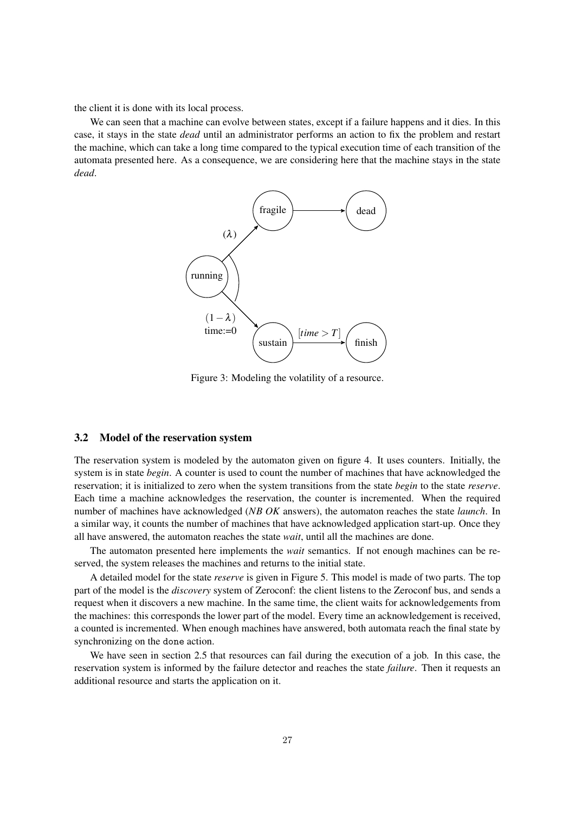the client it is done with its local process.

We can seen that a machine can evolve between states, except if a failure happens and it dies. In this case, it stays in the state *dead* until an administrator performs an action to fix the problem and restart the machine, which can take a long time compared to the typical execution time of each transition of the automata presented here. As a consequence, we are considering here that the machine stays in the state *dead*.



Figure 3: Modeling the volatility of a resource.

## 3.2 Model of the reservation system

The reservation system is modeled by the automaton given on figure 4. It uses counters. Initially, the system is in state *begin*. A counter is used to count the number of machines that have acknowledged the reservation; it is initialized to zero when the system transitions from the state *begin* to the state *reserve*. Each time a machine acknowledges the reservation, the counter is incremented. When the required number of machines have acknowledged (*NB OK* answers), the automaton reaches the state *launch*. In a similar way, it counts the number of machines that have acknowledged application start-up. Once they all have answered, the automaton reaches the state *wait*, until all the machines are done.

The automaton presented here implements the *wait* semantics. If not enough machines can be reserved, the system releases the machines and returns to the initial state.

A detailed model for the state *reserve* is given in Figure 5. This model is made of two parts. The top part of the model is the *discovery* system of Zeroconf: the client listens to the Zeroconf bus, and sends a request when it discovers a new machine. In the same time, the client waits for acknowledgements from the machines: this corresponds the lower part of the model. Every time an acknowledgement is received, a counted is incremented. When enough machines have answered, both automata reach the final state by synchronizing on the done action.

We have seen in section 2.5 that resources can fail during the execution of a job. In this case, the reservation system is informed by the failure detector and reaches the state *failure*. Then it requests an additional resource and starts the application on it.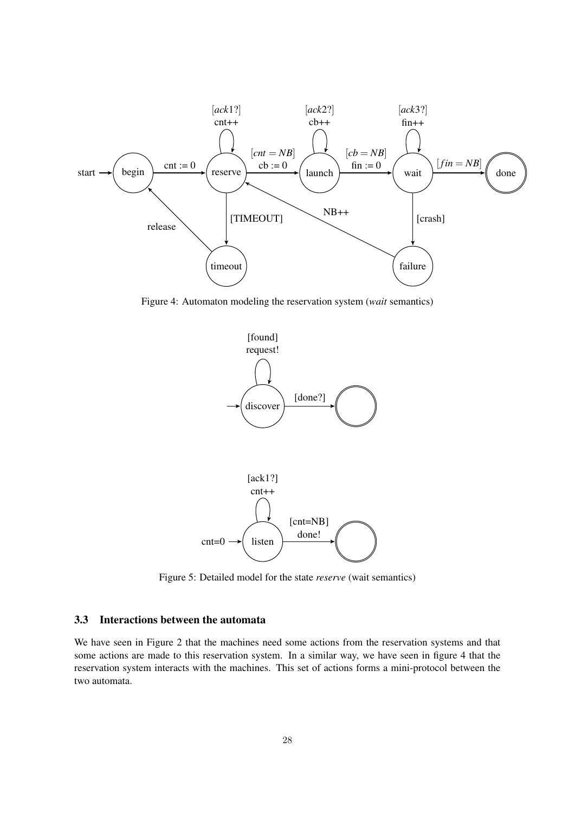

Figure 4: Automaton modeling the reservation system (*wait* semantics)





Figure 5: Detailed model for the state *reserve* (wait semantics)

### 3.3 Interactions between the automata

We have seen in Figure 2 that the machines need some actions from the reservation systems and that some actions are made to this reservation system. In a similar way, we have seen in figure 4 that the reservation system interacts with the machines. This set of actions forms a mini-protocol between the two automata.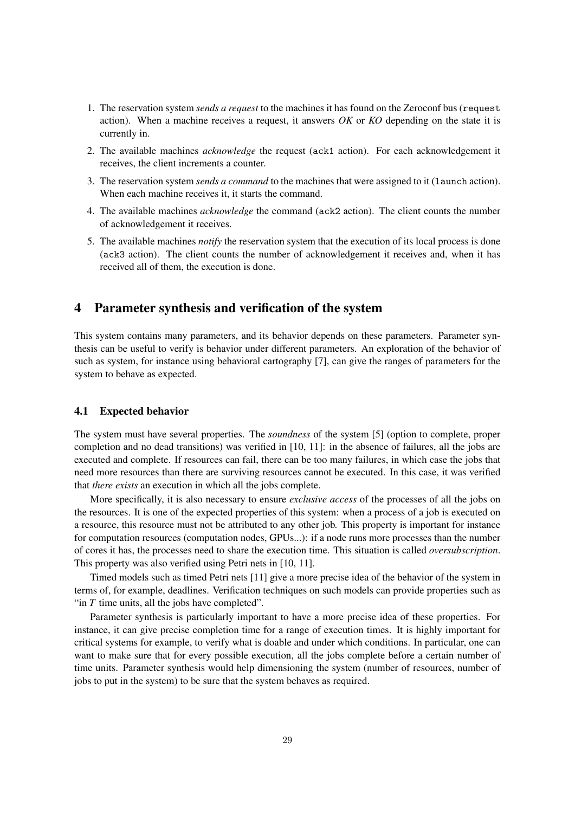- 1. The reservation system *sends a request* to the machines it has found on the Zeroconf bus (request action). When a machine receives a request, it answers *OK* or *KO* depending on the state it is currently in.
- 2. The available machines *acknowledge* the request (ack1 action). For each acknowledgement it receives, the client increments a counter.
- 3. The reservation system *sends a command* to the machines that were assigned to it (launch action). When each machine receives it, it starts the command.
- 4. The available machines *acknowledge* the command (ack2 action). The client counts the number of acknowledgement it receives.
- 5. The available machines *notify* the reservation system that the execution of its local process is done (ack3 action). The client counts the number of acknowledgement it receives and, when it has received all of them, the execution is done.

## 4 Parameter synthesis and verification of the system

This system contains many parameters, and its behavior depends on these parameters. Parameter synthesis can be useful to verify is behavior under different parameters. An exploration of the behavior of such as system, for instance using behavioral cartography [7], can give the ranges of parameters for the system to behave as expected.

### 4.1 Expected behavior

The system must have several properties. The *soundness* of the system [5] (option to complete, proper completion and no dead transitions) was verified in [10, 11]: in the absence of failures, all the jobs are executed and complete. If resources can fail, there can be too many failures, in which case the jobs that need more resources than there are surviving resources cannot be executed. In this case, it was verified that *there exists* an execution in which all the jobs complete.

More specifically, it is also necessary to ensure *exclusive access* of the processes of all the jobs on the resources. It is one of the expected properties of this system: when a process of a job is executed on a resource, this resource must not be attributed to any other job. This property is important for instance for computation resources (computation nodes, GPUs...): if a node runs more processes than the number of cores it has, the processes need to share the execution time. This situation is called *oversubscription*. This property was also verified using Petri nets in [10, 11].

Timed models such as timed Petri nets [11] give a more precise idea of the behavior of the system in terms of, for example, deadlines. Verification techniques on such models can provide properties such as "in *T* time units, all the jobs have completed".

Parameter synthesis is particularly important to have a more precise idea of these properties. For instance, it can give precise completion time for a range of execution times. It is highly important for critical systems for example, to verify what is doable and under which conditions. In particular, one can want to make sure that for every possible execution, all the jobs complete before a certain number of time units. Parameter synthesis would help dimensioning the system (number of resources, number of jobs to put in the system) to be sure that the system behaves as required.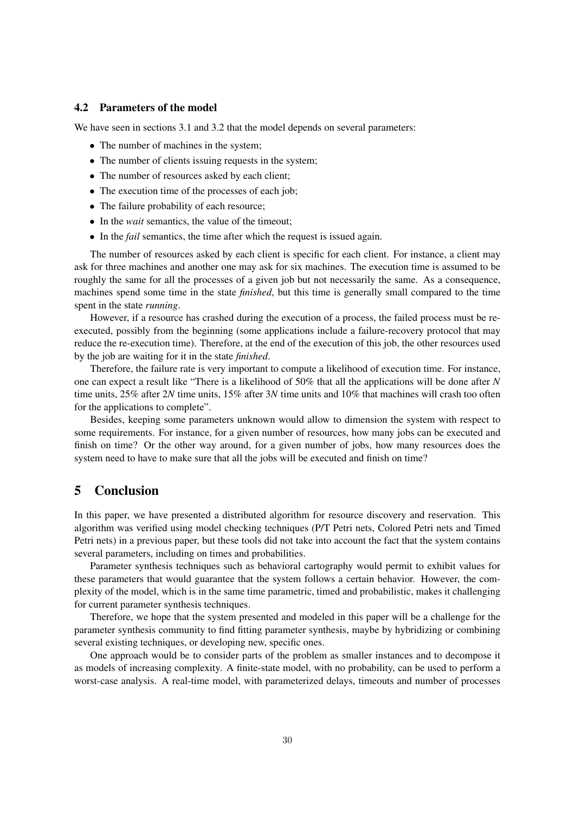#### 4.2 Parameters of the model

We have seen in sections 3.1 and 3.2 that the model depends on several parameters:

- The number of machines in the system:
- The number of clients issuing requests in the system;
- The number of resources asked by each client:
- The execution time of the processes of each job;
- The failure probability of each resource;
- In the *wait* semantics, the value of the timeout;
- In the *fail* semantics, the time after which the request is issued again.

The number of resources asked by each client is specific for each client. For instance, a client may ask for three machines and another one may ask for six machines. The execution time is assumed to be roughly the same for all the processes of a given job but not necessarily the same. As a consequence, machines spend some time in the state *finished*, but this time is generally small compared to the time spent in the state *running*.

However, if a resource has crashed during the execution of a process, the failed process must be reexecuted, possibly from the beginning (some applications include a failure-recovery protocol that may reduce the re-execution time). Therefore, at the end of the execution of this job, the other resources used by the job are waiting for it in the state *finished*.

Therefore, the failure rate is very important to compute a likelihood of execution time. For instance, one can expect a result like "There is a likelihood of 50% that all the applications will be done after *N* time units, 25% after 2*N* time units, 15% after 3*N* time units and 10% that machines will crash too often for the applications to complete".

Besides, keeping some parameters unknown would allow to dimension the system with respect to some requirements. For instance, for a given number of resources, how many jobs can be executed and finish on time? Or the other way around, for a given number of jobs, how many resources does the system need to have to make sure that all the jobs will be executed and finish on time?

# 5 Conclusion

In this paper, we have presented a distributed algorithm for resource discovery and reservation. This algorithm was verified using model checking techniques (P/T Petri nets, Colored Petri nets and Timed Petri nets) in a previous paper, but these tools did not take into account the fact that the system contains several parameters, including on times and probabilities.

Parameter synthesis techniques such as behavioral cartography would permit to exhibit values for these parameters that would guarantee that the system follows a certain behavior. However, the complexity of the model, which is in the same time parametric, timed and probabilistic, makes it challenging for current parameter synthesis techniques.

Therefore, we hope that the system presented and modeled in this paper will be a challenge for the parameter synthesis community to find fitting parameter synthesis, maybe by hybridizing or combining several existing techniques, or developing new, specific ones.

One approach would be to consider parts of the problem as smaller instances and to decompose it as models of increasing complexity. A finite-state model, with no probability, can be used to perform a worst-case analysis. A real-time model, with parameterized delays, timeouts and number of processes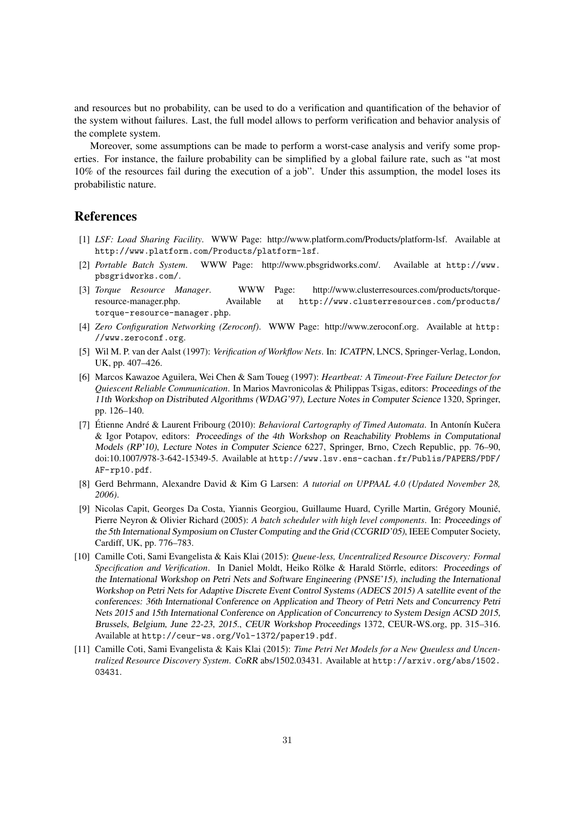and resources but no probability, can be used to do a verification and quantification of the behavior of the system without failures. Last, the full model allows to perform verification and behavior analysis of the complete system.

Moreover, some assumptions can be made to perform a worst-case analysis and verify some properties. For instance, the failure probability can be simplified by a global failure rate, such as "at most 10% of the resources fail during the execution of a job". Under this assumption, the model loses its probabilistic nature.

### References

- [1] *LSF: Load Sharing Facility*. WWW Page: http://www.platform.com/Products/platform-lsf. Available at http://www.platform.com/Products/platform-lsf.
- [2] *Portable Batch System*. WWW Page: http://www.pbsgridworks.com/. Available at http://www. pbsgridworks.com/.
- [3] *Torque Resource Manager*. WWW Page: http://www.clusterresources.com/products/torqueresource-manager.php. Available at http://www.clusterresources.com/products/ torque-resource-manager.php.
- [4] *Zero Configuration Networking (Zeroconf)*. WWW Page: http://www.zeroconf.org. Available at http: //www.zeroconf.org.
- [5] Wil M. P. van der Aalst (1997): *Verification of Workflow Nets*. In: ICATPN, LNCS, Springer-Verlag, London, UK, pp. 407–426.
- [6] Marcos Kawazoe Aguilera, Wei Chen & Sam Toueg (1997): *Heartbeat: A Timeout-Free Failure Detector for Quiescent Reliable Communication*. In Marios Mavronicolas & Philippas Tsigas, editors: Proceedings of the 11th Workshop on Distributed Algorithms (WDAG'97), Lecture Notes in Computer Science 1320, Springer, pp. 126–140.
- [7] Étienne André & Laurent Fribourg (2010): *Behavioral Cartography of Timed Automata*. In Antonín Kučera & Igor Potapov, editors: Proceedings of the 4th Workshop on Reachability Problems in Computational Models (RP'10), Lecture Notes in Computer Science 6227, Springer, Brno, Czech Republic, pp. 76–90, doi:10.1007/978-3-642-15349-5. Available at http://www.lsv.ens-cachan.fr/Publis/PAPERS/PDF/ AF-rp10.pdf.
- [8] Gerd Behrmann, Alexandre David & Kim G Larsen: *A tutorial on UPPAAL 4.0 (Updated November 28, 2006)*.
- [9] Nicolas Capit, Georges Da Costa, Yiannis Georgiou, Guillaume Huard, Cyrille Martin, Grégory Mounié, Pierre Neyron & Olivier Richard (2005): *A batch scheduler with high level components*. In: Proceedings of the 5th International Symposium on Cluster Computing and the Grid (CCGRID'05), IEEE Computer Society, Cardiff, UK, pp. 776–783.
- [10] Camille Coti, Sami Evangelista & Kais Klai (2015): *Queue-less, Uncentralized Resource Discovery: Formal Specification and Verification.* In Daniel Moldt, Heiko Rölke & Harald Störrle, editors: Proceedings of the International Workshop on Petri Nets and Software Engineering (PNSE'15), including the International Workshop on Petri Nets for Adaptive Discrete Event Control Systems (ADECS 2015) A satellite event of the conferences: 36th International Conference on Application and Theory of Petri Nets and Concurrency Petri Nets 2015 and 15th International Conference on Application of Concurrency to System Design ACSD 2015, Brussels, Belgium, June 22-23, 2015., CEUR Workshop Proceedings 1372, CEUR-WS.org, pp. 315–316. Available at http://ceur-ws.org/Vol-1372/paper19.pdf.
- [11] Camille Coti, Sami Evangelista & Kais Klai (2015): *Time Petri Net Models for a New Queuless and Uncentralized Resource Discovery System*. CoRR abs/1502.03431. Available at http://arxiv.org/abs/1502. 03431.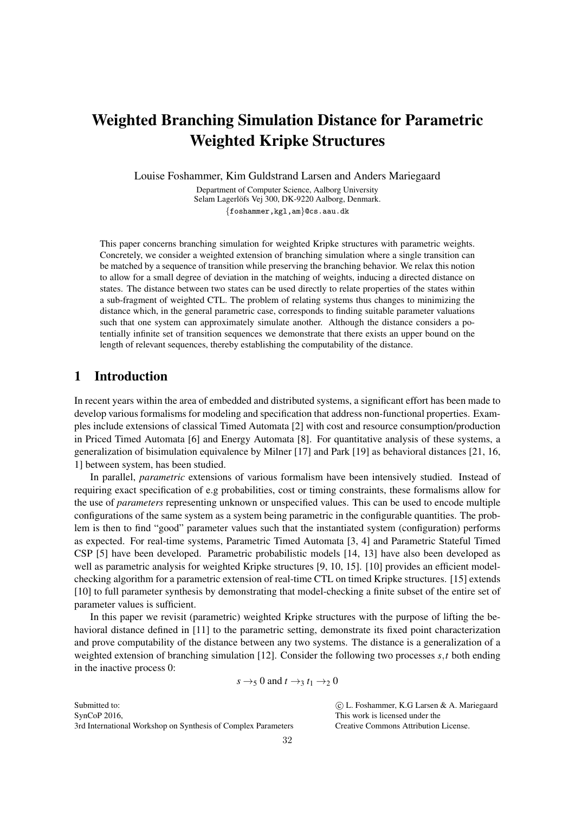# Weighted Branching Simulation Distance for Parametric Weighted Kripke Structures

Louise Foshammer, Kim Guldstrand Larsen and Anders Mariegaard

Department of Computer Science, Aalborg University Selam Lagerlöfs Vej 300, DK-9220 Aalborg, Denmark. {foshammer,kgl,am}@cs.aau.dk

This paper concerns branching simulation for weighted Kripke structures with parametric weights. Concretely, we consider a weighted extension of branching simulation where a single transition can be matched by a sequence of transition while preserving the branching behavior. We relax this notion to allow for a small degree of deviation in the matching of weights, inducing a directed distance on states. The distance between two states can be used directly to relate properties of the states within a sub-fragment of weighted CTL. The problem of relating systems thus changes to minimizing the distance which, in the general parametric case, corresponds to finding suitable parameter valuations such that one system can approximately simulate another. Although the distance considers a potentially infinite set of transition sequences we demonstrate that there exists an upper bound on the length of relevant sequences, thereby establishing the computability of the distance.

# 1 Introduction

In recent years within the area of embedded and distributed systems, a significant effort has been made to develop various formalisms for modeling and specification that address non-functional properties. Examples include extensions of classical Timed Automata [2] with cost and resource consumption/production in Priced Timed Automata [6] and Energy Automata [8]. For quantitative analysis of these systems, a generalization of bisimulation equivalence by Milner [17] and Park [19] as behavioral distances [21, 16, 1] between system, has been studied.

In parallel, *parametric* extensions of various formalism have been intensively studied. Instead of requiring exact specification of e.g probabilities, cost or timing constraints, these formalisms allow for the use of *parameters* representing unknown or unspecified values. This can be used to encode multiple configurations of the same system as a system being parametric in the configurable quantities. The problem is then to find "good" parameter values such that the instantiated system (configuration) performs as expected. For real-time systems, Parametric Timed Automata [3, 4] and Parametric Stateful Timed CSP [5] have been developed. Parametric probabilistic models [14, 13] have also been developed as well as parametric analysis for weighted Kripke structures [9, 10, 15]. [10] provides an efficient modelchecking algorithm for a parametric extension of real-time CTL on timed Kripke structures. [15] extends [10] to full parameter synthesis by demonstrating that model-checking a finite subset of the entire set of parameter values is sufficient.

In this paper we revisit (parametric) weighted Kripke structures with the purpose of lifting the behavioral distance defined in [11] to the parametric setting, demonstrate its fixed point characterization and prove computability of the distance between any two systems. The distance is a generalization of a weighted extension of branching simulation [12]. Consider the following two processes *s*,*t* both ending in the inactive process 0:

$$
s \rightarrow_5 0
$$
 and  $t \rightarrow_3 t_1 \rightarrow_2 0$ 

Submitted to: SynCoP 2016, 3rd International Workshop on Synthesis of Complex Parameters  c L. Foshammer, K.G Larsen & A. Mariegaard This work is licensed under the Creative Commons Attribution License.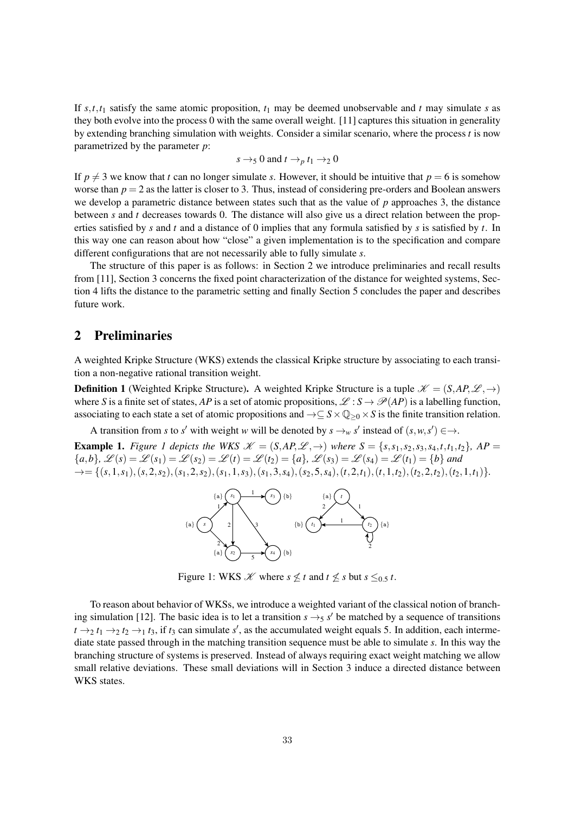If  $s, t, t_1$  satisfy the same atomic proposition,  $t_1$  may be deemed unobservable and  $t$  may simulate  $s$  as they both evolve into the process 0 with the same overall weight. [11] captures this situation in generality by extending branching simulation with weights. Consider a similar scenario, where the process *t* is now parametrized by the parameter *p*:

$$
s \rightarrow 5
$$
 0 and  $t \rightarrow p t_1 \rightarrow 2$  0

If  $p \neq 3$  we know that *t* can no longer simulate *s*. However, it should be intuitive that  $p = 6$  is somehow worse than  $p = 2$  as the latter is closer to 3. Thus, instead of considering pre-orders and Boolean answers we develop a parametric distance between states such that as the value of *p* approaches 3, the distance between *s* and *t* decreases towards 0. The distance will also give us a direct relation between the properties satisfied by *s* and *t* and a distance of 0 implies that any formula satisfied by *s* is satisfied by *t*. In this way one can reason about how "close" a given implementation is to the specification and compare different configurations that are not necessarily able to fully simulate *s*.

The structure of this paper is as follows: in Section 2 we introduce preliminaries and recall results from [11], Section 3 concerns the fixed point characterization of the distance for weighted systems, Section 4 lifts the distance to the parametric setting and finally Section 5 concludes the paper and describes future work.

# 2 Preliminaries

A weighted Kripke Structure (WKS) extends the classical Kripke structure by associating to each transition a non-negative rational transition weight.

**Definition 1** (Weighted Kripke Structure). A weighted Kripke Structure is a tuple  $\mathcal{K} = (S, AP, \mathcal{L}, \rightarrow)$ where *S* is a finite set of states, *AP* is a set of atomic propositions,  $\mathcal{L}: S \to \mathcal{P}(AP)$  is a labelling function, associating to each state a set of atomic propositions and  $\rightarrow \subseteq S \times \mathbb{Q}_{\geq 0} \times S$  is the finite transition relation.

A transition from *s* to *s'* with weight *w* will be denoted by  $s \rightarrow_w s'$  instead of  $(s, w, s') \in \rightarrow$ .

**Example 1.** Figure 1 depicts the WKS  $\mathcal{K} = (S, AP, \mathcal{L}, \rightarrow)$  where  $S = \{s, s_1, s_2, s_3, s_4, t, t_1, t_2\}$ , AP  $\{\{a,b\},\ \mathscr{L}(s) = \mathscr{L}(s_1) = \mathscr{L}(s_2) = \mathscr{L}(t) = \mathscr{L}(t_2) = \{a\},\ \mathscr{L}(s_3) = \mathscr{L}(s_4) = \mathscr{L}(t_1) = \{b\}$  and  $\rightarrow = \{(s,1,s_1), (s,2,s_2), (s_1,2,s_2), (s_1,1,s_3), (s_1,3,s_4), (s_2,5,s_4), (t,2,t_1), (t,1,t_2), (t_2,2,t_2), (t_2,1,t_1)\}.$ 



Figure 1: WKS *X* where  $s \nleq t$  and  $t \nleq s$  but  $s \leq 0.5$  *t*.

To reason about behavior of WKSs, we introduce a weighted variant of the classical notion of branching simulation [12]. The basic idea is to let a transition  $s \rightarrow_5 s'$  be matched by a sequence of transitions  $t \rightarrow_2 t_1 \rightarrow_2 t_2 \rightarrow_1 t_3$ , if  $t_3$  can simulate *s*<sup> $\prime$ </sup>, as the accumulated weight equals 5. In addition, each intermediate state passed through in the matching transition sequence must be able to simulate *s*. In this way the branching structure of systems is preserved. Instead of always requiring exact weight matching we allow small relative deviations. These small deviations will in Section 3 induce a directed distance between WKS states.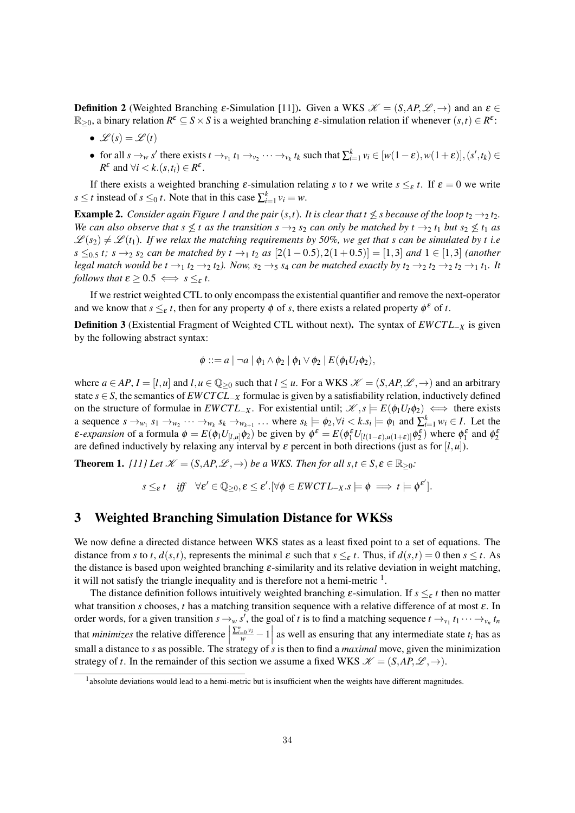**Definition 2** (Weighted Branching  $\varepsilon$ -Simulation [11]). Given a WKS  $\mathcal{K} = (S, AP, \mathcal{L}, \rightarrow)$  and an  $\varepsilon \in$  $\mathbb{R}_{\geq 0}$ , a binary relation  $R^{\varepsilon} \subseteq S \times S$  is a weighted branching  $\varepsilon$ -simulation relation if whenever  $(s, t) \in R^{\varepsilon}$ :

- $\mathscr{L}(s) = \mathscr{L}(t)$
- for all  $s \to_w s'$  there exists  $t \to_{v_1} t_1 \to_{v_2} \cdots \to_{v_k} t_k$  such that  $\sum_{i=1}^k v_i \in [w(1-\varepsilon), w(1+\varepsilon)], (s', t_k) \in$ *R*<sup>ε</sup> and  $\forall i < k.(s,t_i) \in R^{\varepsilon}$ .

If there exists a weighted branching  $\varepsilon$ -simulation relating *s* to *t* we write  $s \leq_{\varepsilon} t$ . If  $\varepsilon = 0$  we write *s*  $\leq t$  instead of *s*  $\leq_0 t$ . Note that in this case  $\sum_{i=1}^{k} v_i = w$ .

**Example 2.** *Consider again Figure 1 and the pair*  $(s,t)$ *. It is clear that t*  $\leq s$  *because of the loop t*<sub>2</sub>  $\rightarrow$  2*t*<sub>2</sub>*. We can also observe that s*  $\leq t$  *as the transition s*  $\rightarrow$ <sub>2</sub> *s*<sub>2</sub> *can only be matched by t*  $\rightarrow$ <sub>2</sub> *t*<sub>1</sub> *but s*<sub>2</sub>  $\leq$  *t*<sub>1</sub> *as*  $\mathscr{L}(s_2) \neq \mathscr{L}(t_1)$ . If we relax the matching requirements by 50%, we get that s can be simulated by t i.e *s* ≤<sub>0.5</sub> *t*; *s* →2 *s*<sub>2</sub> *can be matched by t* →<sub>1</sub> *t*<sub>2</sub> *as* [2(1 − 0.5),2(1+0.5)] = [1,3] *and* 1 ∈ [1,3] *(another legal match would be*  $t \to 1$  $t_2 \to 2$  $t_2$ *). Now,*  $s_2 \to s_1$  *<i>can be matched exactly by*  $t_2 \to 2$  $t_2 \to 2$  $t_2 \to 1$  $t_1$ *. It follows that*  $\varepsilon \geq 0.5 \iff s \leq_{\varepsilon} t$ .

If we restrict weighted CTL to only encompass the existential quantifier and remove the next-operator and we know that  $s \leq_{\varepsilon} t$ , then for any property  $\phi$  of *s*, there exists a related property  $\phi^{\varepsilon}$  of *t*.

Definition 3 (Existential Fragment of Weighted CTL without next). The syntax of *EWCT L*−*<sup>X</sup>* is given by the following abstract syntax:

$$
\phi ::= a \mid \neg a \mid \phi_1 \wedge \phi_2 \mid \phi_1 \vee \phi_2 \mid E(\phi_1 U_I \phi_2),
$$

where  $a \in AP$ ,  $I = [l, u]$  and  $l, u \in \mathbb{Q}_{\geq 0}$  such that  $l \leq u$ . For a WKS  $\mathcal{K} = (S, AP, \mathcal{L}, \rightarrow)$  and an arbitrary state *s* ∈ *S*, the semantics of *EWCTCL*−*<sup>X</sup>* formulae is given by a satisfiability relation, inductively defined on the structure of formulae in  $EWCTL_{-X}$ . For existential until;  $\mathscr{K}, s \models E(\phi_1 U_I \phi_2) \iff \text{there exists}$ a sequence  $s \to_{w_1} s_1 \to_{w_2} \cdots \to_{w_k} s_k \to_{w_{k+1}} \ldots$  where  $s_k \models \phi_2, \forall i \leq k \cdot s_i \models \phi_1$  and  $\sum_{i=1}^k w_i \in I$ . Let the *ε*-*expansion* of a formula  $\phi = E(\phi_1 U_{[l,u]}\phi_2)$  be given by  $\phi^{\varepsilon} = E(\phi_1^{\varepsilon} U_{[l(1-\varepsilon),u(1+\varepsilon)]}\phi_2^{\varepsilon})$  where  $\phi_1^{\varepsilon}$  and  $\phi_2^{\varepsilon}$ are defined inductively by relaxing any interval by  $\varepsilon$  percent in both directions (just as for  $[l, u]$ ).

**Theorem 1.** *[11] Let*  $\mathcal{K} = (S, AP, \mathcal{L}, \rightarrow)$  *be a WKS. Then for all s,t*  $\in S, \varepsilon \in \mathbb{R}_{\geq 0}$ *:* 

$$
s \leq_{\varepsilon} t \quad \text{iff} \quad \forall \varepsilon' \in \mathbb{Q}_{\geq 0}, \varepsilon \leq \varepsilon'.[\forall \phi \in EWCTL_{-X}.s \models \phi \implies t \models \phi^{\varepsilon'}].
$$

## 3 Weighted Branching Simulation Distance for WKSs

We now define a directed distance between WKS states as a least fixed point to a set of equations. The distance from *s* to *t*,  $d(s,t)$ , represents the minimal  $\varepsilon$  such that  $s \leq_{\varepsilon} t$ . Thus, if  $d(s,t) = 0$  then  $s \leq t$ . As the distance is based upon weighted branching  $\varepsilon$ -similarity and its relative deviation in weight matching, it will not satisfy the triangle inequality and is therefore not a hemi-metric  $<sup>1</sup>$ .</sup>

The distance definition follows intuitively weighted branching  $\varepsilon$ -simulation. If  $s \leq_{\varepsilon} t$  then no matter what transition *s* chooses, *t* has a matching transition sequence with a relative difference of at most  $\varepsilon$ . In order words, for a given transition  $s \to_{w} s'$ , the goal of *t* is to find a matching sequence  $t \to_{v_1} t_1 \cdots \to_{v_n} t_n$ that *minimizes* the relative difference     $\left[\frac{\sum_{i=0}^{n} v_i}{w} - 1\right]$  as well as ensuring that any intermediate state  $t_i$  has as small a distance to *s* as possible. The strategy of *s* is then to find a *maximal* move, given the minimization strategy of *t*. In the remainder of this section we assume a fixed WKS  $\mathcal{K} = (SAP, \mathcal{L}, \rightarrow)$ .

<sup>&</sup>lt;sup>1</sup> absolute deviations would lead to a hemi-metric but is insufficient when the weights have different magnitudes.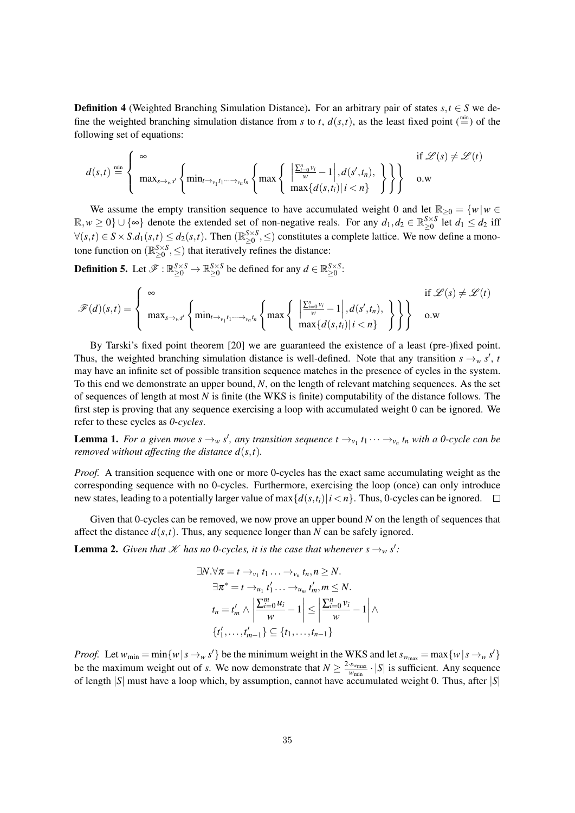**Definition 4** (Weighted Branching Simulation Distance). For an arbitrary pair of states  $s, t \in S$  we define the weighted branching simulation distance from *s* to *t*,  $d(s,t)$ , as the least fixed point ( $\stackrel{\text{min}}{=}$ ) of the following set of equations:

$$
d(s,t) \stackrel{\min}{=} \left\{ \begin{array}{ll} \infty & \text{if } \mathscr{L}(s) \neq \mathscr{L}(t) \\ \max_{s \to \omega} \left\{ \min_{t \to \nu_1 t_1 \cdots \to \nu_n t_n} \left\{ \max \left\{ \left| \frac{\sum_{i=0}^n v_i}{\omega} - 1 \right|, d(s', t_n), \chi \right\} \right\} \right\} & \text{o.w} \end{array} \right\}
$$

We assume the empty transition sequence to have accumulated weight 0 and let  $\mathbb{R}_{\geq 0} = \{w | w \in \mathbb{R}\}$  $\mathbb{R}, w \ge 0$   $\}$  ∪  $\{\infty\}$  denote the extended set of non-negative reals. For any  $d_1, d_2 \in \mathbb{R}_{\geq 0}^{S \times S}$  let  $d_1 \leq d_2$  iff  $\forall (s,t) \in S \times S.d_1(s,t) \leq d_2(s,t)$ . Then  $(\mathbb{R}_{\geq 0}^{S \times S}, \leq)$  constitutes a complete lattice. We now define a monotone function on  $(\mathbb{R}^{S \times S}_{\geq 0}, \leq)$  that iteratively refines the distance:

**Definition 5.** Let  $\mathscr{F}: \mathbb{R}_{\geq 0}^{S \times S} \to \mathbb{R}_{\geq 0}^{S \times S}$  be defined for any  $d \in \mathbb{R}_{\geq 0}^{S \times S}$ :

$$
\mathscr{F}(d)(s,t) = \begin{cases} \infty & \text{if } \mathscr{L}(s) \neq \mathscr{L}(t) \\ \max_{s \to \omega s'} \left\{ \min_{t \to \omega t, t_1, \dots, t_m, t_n} \left\{ \max \left\{ \left| \frac{\sum_{i=0}^n v_i}{w} - 1 \right|, d(s', t_n), \atop \max \{d(s, t_i) \mid i < n\} \right\} \right\} \right\} & \text{o.w} \end{cases}
$$

By Tarski's fixed point theorem [20] we are guaranteed the existence of a least (pre-)fixed point. Thus, the weighted branching simulation distance is well-defined. Note that any transition  $s \rightarrow_w s'$ , *t* may have an infinite set of possible transition sequence matches in the presence of cycles in the system. To this end we demonstrate an upper bound, *N*, on the length of relevant matching sequences. As the set of sequences of length at most *N* is finite (the WKS is finite) computability of the distance follows. The first step is proving that any sequence exercising a loop with accumulated weight 0 can be ignored. We refer to these cycles as *0-cycles*.

**Lemma 1.** For a given move  $s \to_w s'$ , any transition sequence  $t \to_{v_1} t_1 \cdots \to_{v_n} t_n$  with a 0-cycle can be *removed without affecting the distance d*(*s*,*t*)*.*

*Proof.* A transition sequence with one or more 0-cycles has the exact same accumulating weight as the corresponding sequence with no 0-cycles. Furthermore, exercising the loop (once) can only introduce new states, leading to a potentially larger value of  $\max\{d(s,t_i)|i\leq n\}$ . Thus, 0-cycles can be ignored.  $\Box$ 

Given that 0-cycles can be removed, we now prove an upper bound *N* on the length of sequences that affect the distance  $d(s,t)$ . Thus, any sequence longer than *N* can be safely ignored.

**Lemma 2.** *Given that*  $K$  *has no 0-cycles, it is the case that whenever*  $s \rightarrow_w s'$ *:* 

$$
\exists N. \forall \pi = t \rightarrow_{v_1} t_1 \dots \rightarrow_{v_n} t_n, n \ge N.
$$
  
\n
$$
\exists \pi^* = t \rightarrow_{u_1} t'_1 \dots \rightarrow_{u_m} t'_m, m \le N.
$$
  
\n
$$
t_n = t'_m \land \left| \frac{\sum_{i=0}^m u_i}{w} - 1 \right| \le \left| \frac{\sum_{i=0}^n v_i}{w} - 1 \right| \land
$$
  
\n
$$
\{t'_1, \dots, t'_{m-1}\} \subseteq \{t_1, \dots, t_{n-1}\}
$$

*Proof.* Let  $w_{\text{min}} = \min\{w \mid s \rightarrow_w s'\}$  be the minimum weight in the WKS and let  $s_{w_{\text{max}}} = \max\{w \mid s \rightarrow_w s'\}$ be the maximum weight out of *s*. We now demonstrate that  $N \ge \frac{2 \cdot s_{w_{\text{max}}}}{w_{\text{min}}} \cdot |S|$  is sufficient. Any sequence of length |*S*| must have a loop which, by assumption, cannot have accumulated weight 0. Thus, after |*S*|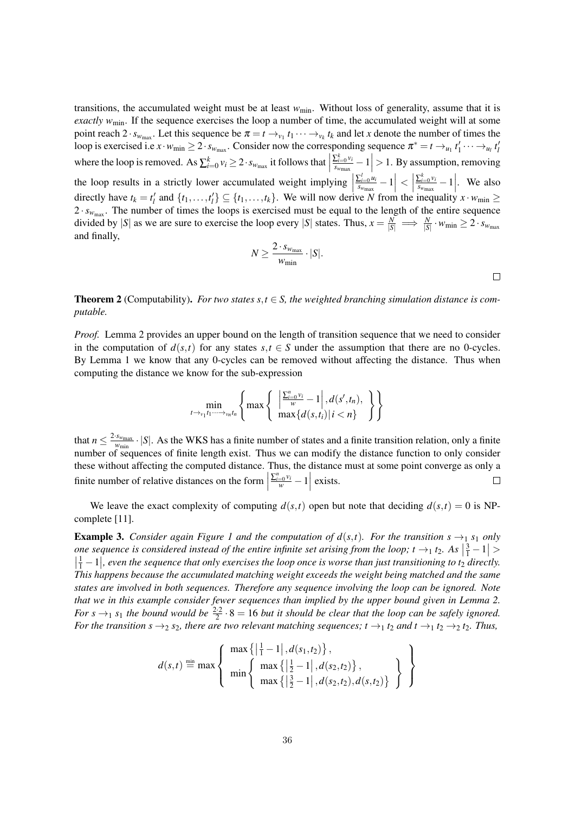transitions, the accumulated weight must be at least  $w_{\text{min}}$ . Without loss of generality, assume that it is *exactly w*<sub>min</sub>. If the sequence exercises the loop a number of time, the accumulated weight will at some point reach  $2 \cdot s_{w_{\text{max}}}$ . Let this sequence be  $\pi = t \rightarrow_{v_1} t_1 \cdots \rightarrow_{v_k} t_k$  and let *x* denote the number of times the loop is exercised i.e  $x \cdot w_{min} \ge 2 \cdot s_{w_{max}}$ . Consider now the corresponding sequence  $\pi^* = t \to_{u_1} t'_1 \cdots \to_{u_l} t'_l$  $i_1 \cdots \rightarrow_{u_l} i_l$ where the loop is removed. As  $\sum_{i=0}^{k} v_i \geq 2 \cdot s_{w_{\text{max}}}$  it follows that  $\sum_{i=0}^k v_i$  $\left| \frac{\sum_{i=0}^{k} v_i}{s_{w_{\text{max}}}} - 1 \right| > 1$ . By assumption, removing the loop results in a strictly lower accumulated weight implying |  $\sum_{i=0}^{l} u_i$  $\frac{\sum_{i=0}^{l} u_i}{s_{w_{\max}}} - 1 \Big| < 1$  $\sum_{i=0}^k v_i$  $\frac{\sum_{i=0}^{k} v_i}{s_{w_{\text{max}}}} - 1$ . We also directly have  $t_k = t'_l$  and  $\{t_1, \ldots, t'_l\} \subseteq \{t_1, \ldots, t_k\}$ . We will now derive *N* from the inequality  $x \cdot w_{\min} \ge$  $2 \cdot s_{w_{\text{max}}}$ . The number of times the loops is exercised must be equal to the length of the entire sequence divided by |*S*| as we are sure to exercise the loop every |*S*| states. Thus,  $x = \frac{N}{|S|} \implies \frac{N}{|S|} \cdot w_{\text{min}} \ge 2 \cdot s_{w_{\text{max}}}$ *N* and finally,

$$
N \ge \frac{2 \cdot s_{w_{\max}}}{w_{\min}} \cdot |S|.
$$

**Theorem 2** (Computability). For two states  $s, t \in S$ , the weighted branching simulation distance is com*putable.*

*Proof.* Lemma 2 provides an upper bound on the length of transition sequence that we need to consider in the computation of  $d(s,t)$  for any states  $s,t \in S$  under the assumption that there are no 0-cycles. By Lemma 1 we know that any 0-cycles can be removed without affecting the distance. Thus when computing the distance we know for the sub-expression

$$
\min_{t\to v_1t_1\cdots v_nt_n}\left\{\max\left\{\left|\frac{\sum_{i=0}^n v_i}{w}-1\right|, d(s',t_n),\right\}\right\}
$$

that  $n \leq \frac{2 \cdot s_{w_{\text{max}}}}{w_{\text{min}}} \cdot |S|$ . As the WKS has a finite number of states and a finite transition relation, only a finite number of sequences of finite length exist. Thus we can modify the distance function to only consider these without affecting the computed distance. Thus, the distance must at some point converge as only a finite number of relative distances on the form  $\frac{\sum_{i=0}^{n} v_i}{w} - 1$  exists.  $\Box$ 

We leave the exact complexity of computing  $d(s,t)$  open but note that deciding  $d(s,t) = 0$  is NPcomplete [11].

**Example 3.** *Consider again Figure 1 and the computation of*  $d(s,t)$ *. For the transition s*  $\rightarrow_1$  *s*<sub>1</sub> *only* one sequence is considered instead of the entire infinite set arising from the loop;  $t \to_1 t_2$ . As  $\left|\frac{3}{1} - 1\right| >$  $\left(\frac{1}{1}-1\right)$ , even the sequence that only exercises the loop once is worse than just transitioning to t<sub>2</sub> directly. *This happens because the accumulated matching weight exceeds the weight being matched and the same states are involved in both sequences. Therefore any sequence involving the loop can be ignored. Note that we in this example consider fewer sequences than implied by the upper bound given in Lemma 2. For*  $s \rightarrow_1 s_1$  the bound would be  $\frac{2 \cdot 2}{2} \cdot 8 = 16$  but it should be clear that the loop can be safely ignored. *For the transition s*  $\rightarrow$ <sub>2</sub>*s*<sub>2</sub>*, there are two relevant matching sequences; <i>t*  $\rightarrow$ <sub>1</sub>*t*<sub>2</sub> *and t*  $\rightarrow$ <sub>1</sub>*t*<sub>2</sub>  $\rightarrow$ <sub>2</sub>*t*<sub>2</sub>*. Thus,* 

$$
d(s,t) \stackrel{\min}{=} \max \left\{ \begin{array}{l} \max \left\{ \left| \frac{1}{1} - 1 \right|, d(s_1, t_2) \right\}, \\ \min \left\{ \begin{array}{l} \max \left\{ \left| \frac{1}{2} - 1 \right|, d(s_2, t_2) \right\}, \\ \max \left\{ \left| \frac{3}{2} - 1 \right|, d(s_2, t_2), d(s, t_2) \right\} \end{array} \right\} \end{array} \right\}
$$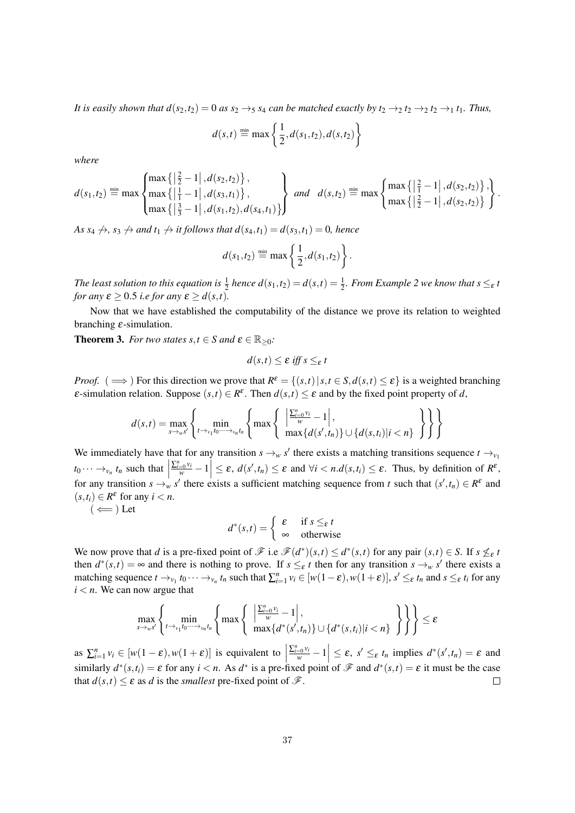*It is easily shown that*  $d(s_2, t_2) = 0$  *<i>as*  $s_2 \rightarrow s_1$  *s*<sub>4</sub> *can be matched exactly by*  $t_2 \rightarrow_2 t_2 \rightarrow_2 t_2 \rightarrow_1 t_1$ *. Thus,* 

$$
d(s,t) \stackrel{\text{min}}{=} \max\left\{\frac{1}{2}, d(s_1,t_2), d(s,t_2)\right\}
$$

*where*

$$
d(s_1, t_2) \stackrel{\min}{=} \max \left\{ \max \left\{ \left| \frac{2}{2} - 1 \right|, d(s_2, t_2) \right\}, \max \left\{ \left| \frac{1}{1} - 1 \right|, d(s_3, t_1) \right\}, \max \left\{ \left| \frac{2}{3} - 1 \right|, d(s_1, t_2), d(s_4, t_1) \right\} \right\} \text{ and } d(s, t_2) \stackrel{\min}{=} \max \left\{ \max \left\{ \left| \frac{2}{2} - 1 \right|, d(s_2, t_2) \right\} \right\}.
$$

*As s<sub>4</sub>*  $\leftrightarrow$ *, s<sub>3</sub>*  $\leftrightarrow$  *and t<sub>1</sub>*  $\leftrightarrow$  *it follows that*  $d(s_4,t_1) = d(s_3,t_1) = 0$ *, hence* 

$$
d(s_1, t_2) \stackrel{\text{min}}{=} \max \left\{ \frac{1}{2}, d(s_1, t_2) \right\}.
$$

The least solution to this equation is  $\frac{1}{2}$  hence  $d(s_1,t_2) = d(s,t) = \frac{1}{2}$ *. From Example 2 we know that s*  $\leq_{\varepsilon}$  t *for any*  $\varepsilon \geq 0.5$  *i.e for any*  $\varepsilon \geq d(s,t)$ .

Now that we have established the computability of the distance we prove its relation to weighted branching  $\varepsilon$ -simulation.

**Theorem 3.** *For two states s,t*  $\in$  *S and*  $\epsilon \in \mathbb{R}_{>0}$ *:* 

$$
d(s,t) \leq \varepsilon \text{ iff } s \leq_{\varepsilon} t
$$

*Proof.* ( $\implies$ ) For this direction we prove that  $R^{\varepsilon} = \{(s,t) | s,t \in S, d(s,t) \leq \varepsilon\}$  is a weighted branching  $\varepsilon$ -simulation relation. Suppose  $(s,t) \in R^{\varepsilon}$ . Then  $d(s,t) \leq \varepsilon$  and by the fixed point property of *d*,

$$
d(s,t) = \max_{s \to \omega s'} \left\{ \min_{t \to \omega_1 t_0 \cdots \to \omega_n t_n} \left\{ \max \left\{ \left| \frac{\sum_{i=0}^n v_i}{w} - 1 \right|, \max \{d(s', t_n) \} \cup \{d(s, t_i) | i < n\} \right\} \right\} \right\}
$$

We immediately have that for any transition  $s \rightarrow_w s'$  there exists a matching transitions sequence  $t \rightarrow_{v_1} s'$  $t_0 \cdots \rightarrow_{v_n} t_n$  such that  $\left| \sum_{i=0}^{n} v_i - 1 \right| \leq \varepsilon$ ,  $d(s', t_n) \leq \varepsilon$  and  $\forall i < n$ .  $d(s, t_i) \leq \varepsilon$ . Thus, by definition of  $R^{\varepsilon}$ , for any transition  $s \to w$  *s'* there exists a sufficient matching sequence from *t* such that  $(s', t_n) \in R^{\varepsilon}$  and  $(s, t_i) \in R^{\varepsilon}$  for any  $i < n$ .

 $(\Leftarrow)$  Let

$$
d^*(s,t) = \begin{cases} \varepsilon & \text{if } s \leq_{\varepsilon} t \\ \infty & \text{otherwise} \end{cases}
$$

We now prove that *d* is a pre-fixed point of  $\mathcal{F}$  i.e  $\mathcal{F}(d^*)(s,t) \leq d^*(s,t)$  for any pair  $(s,t) \in S$ . If  $s \nleq_{\varepsilon} t$ then  $d^*(s,t) = \infty$  and there is nothing to prove. If  $s \leq_{\varepsilon} t$  then for any transition  $s \to_w s'$  there exists a matching sequence  $t \to_{v_1} t_0 \cdots \to_{v_n} t_n$  such that  $\sum_{i=1}^n v_i \in [w(1-\varepsilon), w(1+\varepsilon)], s' \leq_{\varepsilon} t_n$  and  $s \leq_{\varepsilon} t_i$  for any  $i < n$ . We can now argue that

$$
\max_{s\to\omega s'}\left\{\min_{t\to\omega_1 t_0\cdots\to\omega_n t_n}\left\{\max\left\{\left|\frac{\sum_{i=0}^n\omega_i}{w}-1\right|,\max_{\{d^*(s',t_n)\}\cup\{d^*(s,t_i)|i
$$

as  $\sum_{i=1}^{n} v_i \in [w(1-\varepsilon), w(1+\varepsilon)]$  is equivalent to  $\left|\frac{\sum_{i=0}^{n} v_i}{w} - 1\right| \leq \varepsilon$ ,  $s' \leq_{\varepsilon} t_n$  implies  $d^*(s', t_n) = \varepsilon$  and similarly  $d^*(s,t_i) = \varepsilon$  for any  $i < n$ . As  $d^*$  is a pre-fixed point of  $\mathscr F$  and  $d^*(s,t) = \varepsilon$  it must be the case that  $d(s,t) \leq \varepsilon$  as *d* is the *smallest* pre-fixed point of  $\mathcal{F}$ .  $\Box$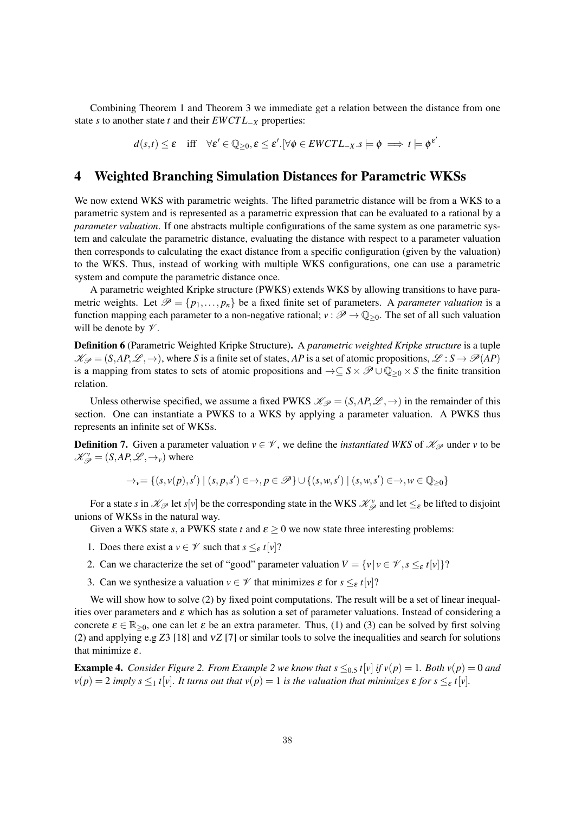Combining Theorem 1 and Theorem 3 we immediate get a relation between the distance from one state *s* to another state *t* and their *EWCT L*−*<sup>X</sup>* properties:

$$
d(s,t) \leq \varepsilon \quad \text{iff} \quad \forall \varepsilon' \in \mathbb{Q}_{\geq 0}, \varepsilon \leq \varepsilon'. \, [\forall \phi \in EWCTL_{-X}.s \models \phi \implies t \models \phi^{\varepsilon'}.
$$

### 4 Weighted Branching Simulation Distances for Parametric WKSs

We now extend WKS with parametric weights. The lifted parametric distance will be from a WKS to a parametric system and is represented as a parametric expression that can be evaluated to a rational by a *parameter valuation*. If one abstracts multiple configurations of the same system as one parametric system and calculate the parametric distance, evaluating the distance with respect to a parameter valuation then corresponds to calculating the exact distance from a specific configuration (given by the valuation) to the WKS. Thus, instead of working with multiple WKS configurations, one can use a parametric system and compute the parametric distance once.

A parametric weighted Kripke structure (PWKS) extends WKS by allowing transitions to have parametric weights. Let  $\mathcal{P} = \{p_1, \ldots, p_n\}$  be a fixed finite set of parameters. A *parameter valuation* is a function mapping each parameter to a non-negative rational;  $v : \mathscr{P} \to \mathbb{Q}_{\geq 0}$ . The set of all such valuation will be denote by  $\mathcal V$ .

Definition 6 (Parametric Weighted Kripke Structure). A *parametric weighted Kripke structure* is a tuple  $\mathcal{K}_{\mathcal{P}} = (S, AP, \mathcal{L}, \rightarrow)$ , where *S* is a finite set of states, *AP* is a set of atomic propositions,  $\mathcal{L}: S \rightarrow \mathcal{P}(AP)$ is a mapping from states to sets of atomic propositions and  $\rightarrow \subseteq S \times \mathscr{P} \cup \mathbb{Q}_{\geq 0} \times S$  the finite transition relation.

Unless otherwise specified, we assume a fixed PWKS  $\mathcal{K}_{\mathcal{P}} = (S, AP, \mathcal{L}, \rightarrow)$  in the remainder of this section. One can instantiate a PWKS to a WKS by applying a parameter valuation. A PWKS thus represents an infinite set of WKSs.

**Definition 7.** Given a parameter valuation  $v \in V$ , we define the *instantiated WKS* of  $\mathcal{K}_{\mathcal{P}}$  under *v* to be  $\mathcal{K}_{\mathcal{P}}^{\nu} = (S, AP, \mathcal{L}, \rightarrow_{\nu})$  where

$$
\rightarrow_v = \{(s,v(p),s') \mid (s,p,s') \in \rightarrow, p \in \mathscr{P}\} \cup \{(s,w,s') \mid (s,w,s') \in \rightarrow, w \in \mathbb{Q}_{\geq 0}\}\
$$

For a state *s* in  $\mathcal{K}_{\mathcal{P}}$  let *s*[*v*] be the corresponding state in the WKS  $\mathcal{K}_{\mathcal{P}}^{\nu}$  and let  $\leq_{\varepsilon}$  be lifted to disjoint unions of WKSs in the natural way.

Given a WKS state *s*, a PWKS state *t* and  $\varepsilon \ge 0$  we now state three interesting problems:

- 1. Does there exist a  $v \in \mathcal{V}$  such that  $s \leq_{\varepsilon} t[v]$ ?
- 2. Can we characterize the set of "good" parameter valuation  $V = \{v | v \in \mathcal{V}, s \leq_{\varepsilon} t[v]\}$ ?
- 3. Can we synthesize a valuation  $v \in \mathcal{V}$  that minimizes  $\varepsilon$  for  $s \leq_{\varepsilon} t[v]$ ?

We will show how to solve (2) by fixed point computations. The result will be a set of linear inequalities over parameters and  $\varepsilon$  which has as solution a set of parameter valuations. Instead of considering a concrete  $\varepsilon \in \mathbb{R}_{>0}$ , one can let  $\varepsilon$  be an extra parameter. Thus, (1) and (3) can be solved by first solving (2) and applying e.g *Z*3 [18] and ν*Z* [7] or similar tools to solve the inequalities and search for solutions that minimize  $\varepsilon$ .

**Example 4.** *Consider Figure 2. From Example 2 we know that*  $s \leq 0.5$  *f|v| <i>if v*(*p*) = 1*. Both v*(*p*) = 0 *and*  $\nu(p) = 2$  *imply s*  $\leq_1$  *t*[*v*]*. It turns out that*  $\nu(p) = 1$  *<i>is the valuation that minimizes*  $\varepsilon$  *for s*  $\leq_\varepsilon$  *t*[*v*]*.*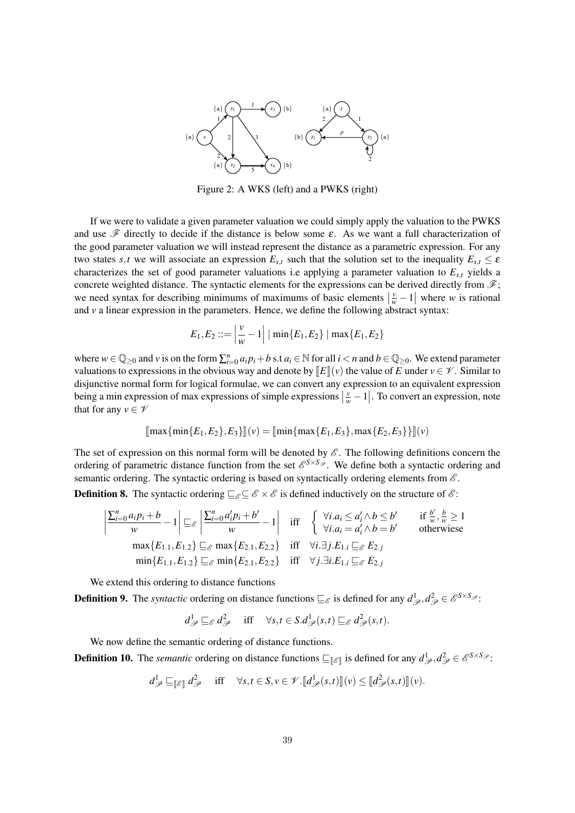

Figure 2: A WKS (left) and a PWKS (right)

If we were to validate a given parameter valuation we could simply apply the valuation to the PWKS and use  $\mathscr F$  directly to decide if the distance is below some  $\varepsilon$ . As we want a full characterization of the good parameter valuation we will instead represent the distance as a parametric expression. For any two states *s*,*t* we will associate an expression  $E_{s,t}$  such that the solution set to the inequality  $E_{s,t} \leq \varepsilon$ characterizes the set of good parameter valuations i.e applying a parameter valuation to *Es*,*<sup>t</sup>* yields a concrete weighted distance. The syntactic elements for the expressions can be derived directly from  $\mathscr{F}$ ; we need syntax for describing minimums of maximums of basic elements  $\left|\frac{v}{w} - 1\right|$  where *w* is rational and *v* a linear expression in the parameters. Hence, we define the following abstract syntax:

$$
E_1, E_2 ::= \left| \frac{v}{w} - 1 \right| | \min\{E_1, E_2\} | \max\{E_1, E_2\}
$$

where  $w \in \mathbb{Q}_{\geq 0}$  and  $v$  is on the form  $\sum_{i=0}^{n} a_i p_i + b$  s.t  $a_i \in \mathbb{N}$  for all  $i < n$  and  $b \in \mathbb{Q}_{\geq 0}$ . We extend parameter valuations to expressions in the obvious way and denote by  $\llbracket E \rrbracket(v)$  the value of *E* under  $v \in \mathscr{V}$ . Similar to disjunctive normal form for logical formulae, we can convert any expression to an equivalent expression being a min expression of max expressions of simple expressions  $\left|\frac{v}{w}-1\right|$ . To convert an expression, note that for any  $v \in \mathcal{V}$ 

$$
[\max{\min{E_1, E_2}, E_3}]|(v) = [\min{\max{E_1, E_3}, \max{E_2, E_3}}]|(v)
$$

The set of expression on this normal form will be denoted by  $\mathscr E$ . The following definitions concern the ordering of parametric distance function from the set  $\mathscr{E}^{S \times S_{\mathscr{P}}}$ . We define both a syntactic ordering and semantic ordering. The syntactic ordering is based on syntactically ordering elements from  $\mathscr E$ .

**Definition 8.** The syntactic ordering  $\sqsubseteq_{\mathscr{E}} \subseteq \mathscr{E} \times \mathscr{E}$  is defined inductively on the structure of  $\mathscr{E}$ :

$$
\left| \frac{\sum_{i=0}^{n} a_i p_i + b}{w} - 1 \right| \sqsubseteq_{\mathcal{E}} \left| \frac{\sum_{i=0}^{n} a'_i p_i + b'}{w} - 1 \right| \quad \text{iff} \quad \begin{cases} \forall i. a_i \le a'_i \land b \le b' & \text{if } \frac{b'}{w}, \frac{b}{w} \ge 1 \\ \forall i. a_i = a'_i \land b = b' & \text{otherwise} \end{cases}
$$
\n
$$
\max \{ E_{1.1}, E_{1.2} \} \sqsubseteq_{\mathcal{E}} \max \{ E_{2.1}, E_{2.2} \} \quad \text{iff} \quad \forall i. \exists j. E_{1.i} \sqsubseteq_{\mathcal{E}} E_{2.j}
$$
\n
$$
\min \{ E_{1.1}, E_{1.2} \} \sqsubseteq_{\mathcal{E}} \min \{ E_{2.1}, E_{2.2} \} \quad \text{iff} \quad \forall j. \exists i. E_{1.i} \sqsubseteq_{\mathcal{E}} E_{2.j}
$$

We extend this ordering to distance functions

**Definition 9.** The *syntactic* ordering on distance functions  $\sqsubseteq_{\mathscr{E}}$  is defined for any  $d^1_{\mathscr{P}}, d^2_{\mathscr{P}} \in \mathscr{E}^{S \times S_{\mathscr{P}}}$ :

$$
d^1_{\mathscr{P}} \sqsubseteq_{\mathscr{E}} d^2_{\mathscr{P}}
$$
 iff  $\forall s, t \in S.d^1_{\mathscr{P}}(s,t) \sqsubseteq_{\mathscr{E}} d^2_{\mathscr{P}}(s,t).$ 

We now define the semantic ordering of distance functions.

**Definition 10.** The *semantic* ordering on distance functions  $\sqsubseteq_{\llbracket \mathcal{E} \rrbracket}$  is defined for any  $d^1_{\mathcal{P}}, d^2_{\mathcal{P}} \in \mathcal{E}^{S \times S_{\mathcal{P}}}$ :

$$
d_{\mathscr{P}}^1 \sqsubseteq_{\llbracket \mathscr{E} \rrbracket} d_{\mathscr{P}}^2 \quad \text{iff} \quad \forall s, t \in S, v \in \mathscr{V}. \llbracket d_{\mathscr{P}}^1(s, t) \rrbracket(v) \leq \llbracket d_{\mathscr{P}}^2(s, t) \rrbracket(v).
$$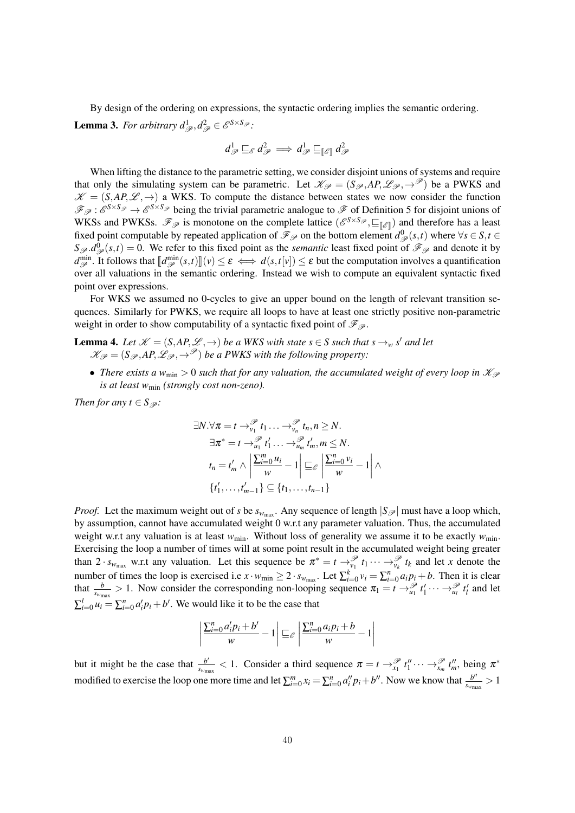By design of the ordering on expressions, the syntactic ordering implies the semantic ordering.

**Lemma 3.** For arbitrary  $d^1_{\mathscr{P}}, d^2_{\mathscr{P}} \in \mathscr{E}^{S \times S_{\mathscr{P}}}.$ 

$$
d^1_{\mathscr{P}} \sqsubseteq_{\mathscr{E}} d^2_{\mathscr{P}} \implies d^1_{\mathscr{P}} \sqsubseteq_{\llbracket \mathscr{E} \rrbracket} d^2_{\mathscr{P}}
$$

When lifting the distance to the parametric setting, we consider disjoint unions of systems and require that only the simulating system can be parametric. Let  $\mathcal{K}_{\mathcal{P}} = (S_{\mathcal{P}}, AP, \mathcal{L}_{\mathcal{P}}, \rightarrow^{\mathcal{P}})$  be a PWKS and  $\mathcal{K} = (S, AP, \mathcal{L}, \rightarrow)$  a WKS. To compute the distance between states we now consider the function  $\mathscr{F}_{\mathscr{P}}$ :  $\mathscr{E}^{S \times S_{\mathscr{P}}} \to \mathscr{E}^{S \times S_{\mathscr{P}}}$  being the trivial parametric analogue to  $\mathscr{F}$  of Definition 5 for disjoint unions of WKSs and PWKSs.  $\mathcal{F}_{\mathcal{P}}$  is monotone on the complete lattice  $(e^{S \times S_{\mathcal{P}}}, \sqsubseteq_{[\mathcal{E}]})$  and therefore has a least fixed point computable by repeated application of  $\mathcal{F}_{\mathcal{P}}$  on the bottom element  $d_{\mathcal{P}}^0(s,t)$  where  $\forall s \in S, t \in$  $S_{\mathscr{P}}.d_{\mathscr{P}}^0(s,t) = 0$ . We refer to this fixed point as the *semantic* least fixed point of  $\mathscr{F}_{\mathscr{P}}$  and denote it by  $d_{\mathscr{P}}^{\min}$ . It follows that  $\llbracket d_{\mathscr{P}}^{\min}(s,t) \rrbracket(v) \leq \varepsilon \iff d(s,t[v]) \leq \varepsilon$  but the computation involves a quantification over all valuations in the semantic ordering. Instead we wish to compute an equivalent syntactic fixed point over expressions.

For WKS we assumed no 0-cycles to give an upper bound on the length of relevant transition sequences. Similarly for PWKS, we require all loops to have at least one strictly positive non-parametric weight in order to show computability of a syntactic fixed point of  $\mathcal{F}_{\mathcal{P}}$ .

**Lemma 4.** Let  $\mathscr{K} = (S, AP, \mathscr{L}, \rightarrow)$  be a WKS with state  $s \in S$  such that  $s \rightarrow_w s'$  and let  $\mathcal{K}_{\mathcal{P}} = (S_{\mathcal{P}}, AP, \mathcal{L}_{\mathcal{P}}, \rightarrow^{\mathcal{P}})$  *be a PWKS with the following property:* 

• *There exists a*  $w_{\text{min}} > 0$  *such that for any valuation, the accumulated weight of every loop in*  $\mathcal{K}_{\mathcal{P}}$ *is at least w*min *(strongly cost non-zeno).*

*Then for any*  $t \in S$ <sub> $\mathscr{P}$ </sub>*:* 

$$
\exists N. \forall \pi = t \rightarrow_{v_1}^{\mathscr{P}} t_1 \dots \rightarrow_{v_n}^{\mathscr{P}} t_n, n \geq N.
$$
  

$$
\exists \pi^* = t \rightarrow_{u_1}^{\mathscr{P}} t'_1 \dots \rightarrow_{u_m}^{\mathscr{P}} t'_m, m \leq N.
$$
  

$$
t_n = t'_m \land \left| \frac{\sum_{i=0}^m u_i}{w} - 1 \right| \sqsubseteq_{\mathscr{E}} \left| \frac{\sum_{i=0}^n v_i}{w} - 1 \right| \land
$$
  

$$
\{t'_1, \dots, t'_{m-1}\} \subseteq \{t_1, \dots, t_{n-1}\}
$$

*Proof.* Let the maximum weight out of *s* be  $s_{w_{\text{max}}}$ . Any sequence of length  $|S_{\mathscr{P}}|$  must have a loop which, by assumption, cannot have accumulated weight 0 w.r.t any parameter valuation. Thus, the accumulated weight w.r.t any valuation is at least  $w_{\text{min}}$ . Without loss of generality we assume it to be exactly  $w_{\text{min}}$ . Exercising the loop a number of times will at some point result in the accumulated weight being greater than  $2 \cdot s_{w_{\text{max}}}$  w.r.t any valuation. Let this sequence be  $\pi^* = t \rightarrow_{v_1}^{\mathcal{P}} t_1 \cdots \rightarrow_{v_k}^{\mathcal{P}} t_k$  and let *x* denote the number of times the loop is exercised i.e  $x \cdot w_{\text{min}} \geq 2 \cdot s_{w_{\text{max}}}$ . Let  $\sum_{i=0}^{k} v_i = \sum_{i=0}^{n} a_i p_i + b$ . Then it is clear that  $\frac{b}{s_{w_{\text{max}}}}>1$ . Now consider the corresponding non-looping sequence  $\pi_1 = t \rightarrow_{u_1}^{\mathcal{P}} t'_1 \cdots \rightarrow_{u_l}^{\mathcal{P}} t'_l$  and let  $\sum_{i=0}^{l} u_i = \sum_{i=0}^{n} a_i' p_i + b'$ . We would like it to be the case that

$$
\left| \frac{\sum_{i=0}^{n} a'_i p_i + b'}{w} - 1 \right| \sqsubseteq_{\mathscr{E}} \left| \frac{\sum_{i=0}^{n} a_i p_i + b}{w} - 1 \right|
$$

but it might be the case that  $\frac{b'}{s_{w_{\text{max}}}} < 1$ . Consider a third sequence  $\pi = t \rightarrow_{x_1}^{\mathcal{P}} t_1'' \cdots \rightarrow_{x_m}^{\mathcal{P}} t_m''$ , being  $\pi^*$ modified to exercise the loop one more time and let  $\sum_{i=0}^{m} x_i = \sum_{i=0}^{n} a_i'' p_i + b''$ . Now we know that  $\frac{b''}{s_{w_{\text{max}}}} > 1$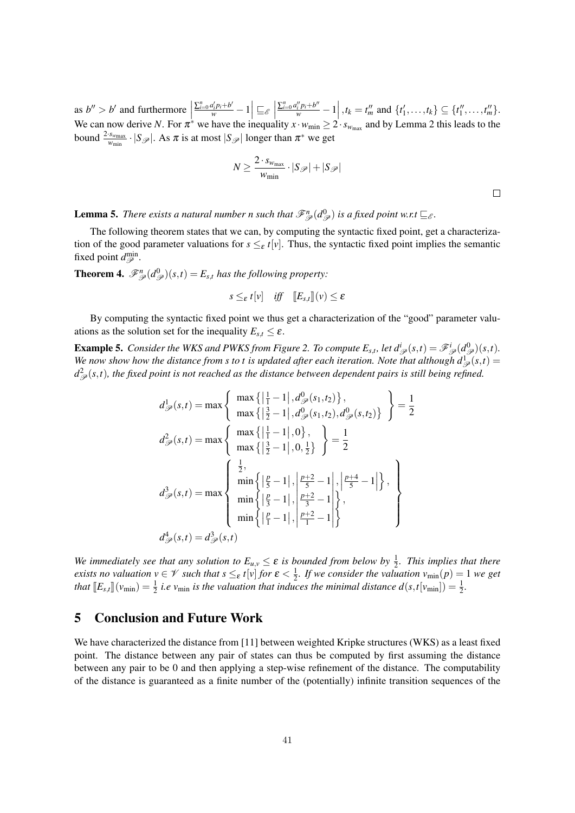as  $b'' > b'$  and furthermore  $\frac{\sum_{i=0}^n a'_i p_i + b'}{w} - 1$   $\subseteq$  $\begin{array}{c} \hline \end{array}$  $\frac{\sum_{i=0}^n a''_i p_i + b''}{w} - 1$ ,  $t_k = t_m^{\prime\prime}$  and  $\{t_1^{\prime}, \ldots, t_k\} \subseteq \{t_1^{\prime\prime}, \ldots, t_m^{\prime\prime}\}.$ We can now derive *N*. For  $\pi^*$  we have the inequality  $x \cdot w_{\min} \ge 2 \cdot s_{w_{\max}}$  and by Lemma 2 this leads to the bound  $\frac{2 \cdot s_{w_{\text{max}}}}{w_{\text{min}}} \cdot |S_{\mathscr{P}}|$ . As  $\pi$  is at most  $|S_{\mathscr{P}}|$  longer than  $\pi^*$  we get

$$
N \ge \frac{2 \cdot s_{w_{\max}}}{w_{\min}} \cdot |S_{\mathscr{P}}| + |S_{\mathscr{P}}|
$$

 $\Box$ 

**Lemma 5.** There exists a natural number n such that  $\mathscr{F}_{\mathscr{P}}^n(d_{\mathscr{P}}^0)$  is a fixed point w.r.t  $\sqsubseteq_{\mathscr{E}}$ .

The following theorem states that we can, by computing the syntactic fixed point, get a characterization of the good parameter valuations for  $s \leq_{\varepsilon} t[v]$ . Thus, the syntactic fixed point implies the semantic fixed point  $d_{\mathscr{P}}^{\min}$ .

**Theorem 4.**  $\mathscr{F}_{\mathscr{P}}^n(d_{\mathscr{P}}^0)(s,t) = E_{s,t}$  has the following property:

$$
s \leq_{\varepsilon} t[v] \quad \text{iff} \quad [E_{s,t}](v) \leq \varepsilon
$$

By computing the syntactic fixed point we thus get a characterization of the "good" parameter valuations as the solution set for the inequality  $E_{s,t} \leq \varepsilon$ .

**Example 5.** Consider the WKS and PWKS from Figure 2. To compute  $E_{s,t}$ , let  $d^i_{\mathscr{P}}(s,t) = \mathscr{F}^i_{\mathscr{P}}(d^0_{\mathscr{P}})(s,t)$ . We now show how the distance from s to t is updated after each iteration. Note that although  $d^{\perp}_{\mathscr{P}}(s,t)$  =  $d^2_{\mathscr{P}}(s,t)$ , the fixed point is not reached as the distance between dependent pairs is still being refined.

$$
d_{\mathscr{P}}^{1}(s,t) = \max \left\{ \begin{array}{l} \max\left\{ \left| \frac{1}{1} - 1 \right|, d_{\mathscr{P}}^{0}(s_{1}, t_{2}) \right\}, \\ \max\left\{ \left| \frac{3}{2} - 1 \right|, d_{\mathscr{P}}^{0}(s_{1}, t_{2}), d_{\mathscr{P}}^{0}(s, t_{2}) \right\} \end{array} \right\} = \frac{1}{2}
$$
  

$$
d_{\mathscr{P}}^{2}(s,t) = \max \left\{ \begin{array}{l} \max\left\{ \left| \frac{1}{1} - 1 \right|, 0 \right\}, \\ \max\left\{ \left| \frac{3}{2} - 1 \right|, 0, \frac{1}{2} \right\} \end{array} \right\} = \frac{1}{2}
$$
  

$$
d_{\mathscr{P}}^{3}(s,t) = \max \left\{ \begin{array}{l} \frac{1}{2}, \\ \min\left\{ \left| \frac{p}{5} - 1 \right|, \left| \frac{p+2}{5} - 1 \right|, \left| \frac{p+4}{5} - 1 \right| \right\}, \\ \min\left\{ \left| \frac{p}{3} - 1 \right|, \left| \frac{p+2}{3} - 1 \right| \right\}, \\ \min\left\{ \left| \frac{p}{1} - 1 \right|, \left| \frac{p+2}{1} - 1 \right| \right\} \end{array} \right\}
$$
  

$$
d_{\mathscr{P}}^{4}(s,t) = d_{\mathscr{P}}^{3}(s,t)
$$

We immediately see that any solution to  $E_{u,v} \leq \varepsilon$  is bounded from below by  $\frac{1}{2}$ . This implies that there *exists no valuation*  $v \in V$  *such that*  $s \leq_{\varepsilon} t[v]$  *for*  $\varepsilon < \frac{1}{2}$ *. If we consider the valuation*  $v_{\min}(p) = 1$  *we get that*  $[E_{s,t}](v_{\min}) = \frac{1}{2}$  *i.e*  $v_{\min}$  *is the valuation that induces the minimal distance*  $d(s,t[v_{\min}]) = \frac{1}{2}$ *.* 

### 5 Conclusion and Future Work

We have characterized the distance from [11] between weighted Kripke structures (WKS) as a least fixed point. The distance between any pair of states can thus be computed by first assuming the distance between any pair to be 0 and then applying a step-wise refinement of the distance. The computability of the distance is guaranteed as a finite number of the (potentially) infinite transition sequences of the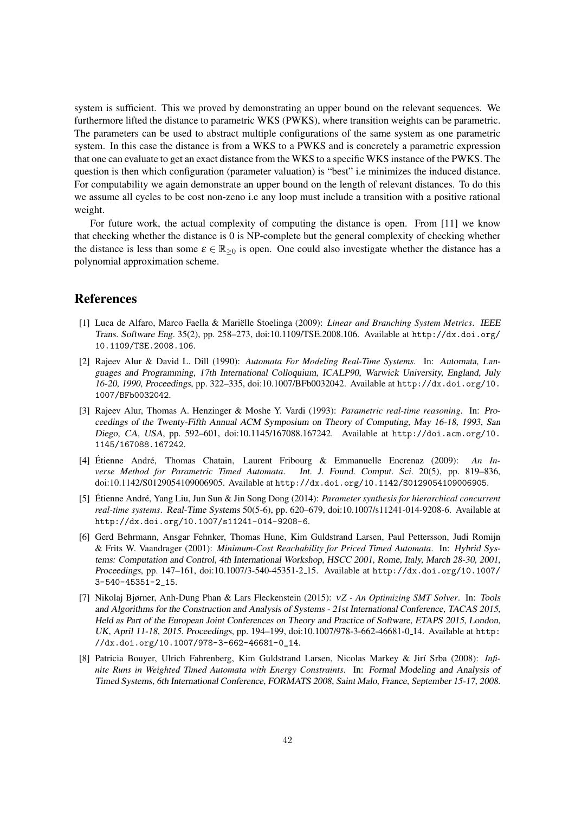system is sufficient. This we proved by demonstrating an upper bound on the relevant sequences. We furthermore lifted the distance to parametric WKS (PWKS), where transition weights can be parametric. The parameters can be used to abstract multiple configurations of the same system as one parametric system. In this case the distance is from a WKS to a PWKS and is concretely a parametric expression that one can evaluate to get an exact distance from the WKS to a specific WKS instance of the PWKS. The question is then which configuration (parameter valuation) is "best" i.e minimizes the induced distance. For computability we again demonstrate an upper bound on the length of relevant distances. To do this we assume all cycles to be cost non-zeno i.e any loop must include a transition with a positive rational weight.

For future work, the actual complexity of computing the distance is open. From [11] we know that checking whether the distance is 0 is NP-complete but the general complexity of checking whether the distance is less than some  $\varepsilon \in \mathbb{R}_{\geq 0}$  is open. One could also investigate whether the distance has a polynomial approximation scheme.

## References

- [1] Luca de Alfaro, Marco Faella & Mariëlle Stoelinga (2009): *Linear and Branching System Metrics*. IEEE Trans. Software Eng. 35(2), pp. 258–273, doi:10.1109/TSE.2008.106. Available at http://dx.doi.org/ 10.1109/TSE.2008.106.
- [2] Rajeev Alur & David L. Dill (1990): *Automata For Modeling Real-Time Systems*. In: Automata, Languages and Programming, 17th International Colloquium, ICALP90, Warwick University, England, July 16-20, 1990, Proceedings, pp. 322–335, doi:10.1007/BFb0032042. Available at http://dx.doi.org/10. 1007/BFb0032042.
- [3] Rajeev Alur, Thomas A. Henzinger & Moshe Y. Vardi (1993): *Parametric real-time reasoning*. In: Proceedings of the Twenty-Fifth Annual ACM Symposium on Theory of Computing, May 16-18, 1993, San Diego, CA, USA, pp. 592–601, doi:10.1145/167088.167242. Available at http://doi.acm.org/10. 1145/167088.167242.
- [4] Étienne André, Thomas Chatain, Laurent Fribourg & Emmanuelle Encrenaz (2009): An In*verse Method for Parametric Timed Automata*. Int. J. Found. Comput. Sci. 20(5), pp. 819–836, doi:10.1142/S0129054109006905. Available at http://dx.doi.org/10.1142/S0129054109006905.
- [5] Étienne André, Yang Liu, Jun Sun & Jin Song Dong (2014): *Parameter synthesis for hierarchical concurrent real-time systems*. Real-Time Systems 50(5-6), pp. 620–679, doi:10.1007/s11241-014-9208-6. Available at http://dx.doi.org/10.1007/s11241-014-9208-6.
- [6] Gerd Behrmann, Ansgar Fehnker, Thomas Hune, Kim Guldstrand Larsen, Paul Pettersson, Judi Romijn & Frits W. Vaandrager (2001): *Minimum-Cost Reachability for Priced Timed Automata*. In: Hybrid Systems: Computation and Control, 4th International Workshop, HSCC 2001, Rome, Italy, March 28-30, 2001, Proceedings, pp. 147–161, doi:10.1007/3-540-45351-2 15. Available at http://dx.doi.org/10.1007/ 3-540-45351-2\_15.
- [7] Nikolaj Bjørner, Anh-Dung Phan & Lars Fleckenstein (2015): ν*Z An Optimizing SMT Solver*. In: Tools and Algorithms for the Construction and Analysis of Systems - 21st International Conference, TACAS 2015, Held as Part of the European Joint Conferences on Theory and Practice of Software, ETAPS 2015, London, UK, April 11-18, 2015. Proceedings, pp. 194–199, doi:10.1007/978-3-662-46681-0 14. Available at http: //dx.doi.org/10.1007/978-3-662-46681-0\_14.
- [8] Patricia Bouyer, Ulrich Fahrenberg, Kim Guldstrand Larsen, Nicolas Markey & Jirí Srba (2008): Infi*nite Runs in Weighted Timed Automata with Energy Constraints*. In: Formal Modeling and Analysis of Timed Systems, 6th International Conference, FORMATS 2008, Saint Malo, France, September 15-17, 2008.